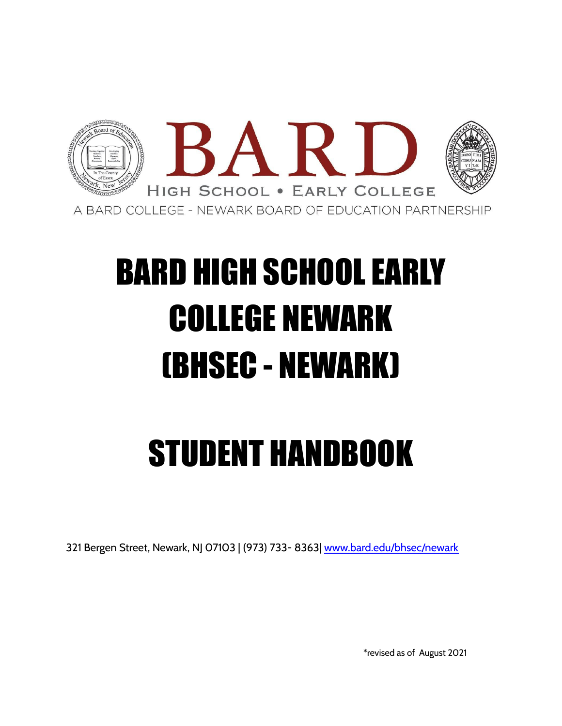

# BARD HIGH SCHOOL EARLY COLLEGE NEWARK (BHSEC - NEWARK)

# STUDENT HANDBOOK

321 Bergen Street, Newark, NJ 07103 | (973) 733- 8363| [www.bard.edu/bhsec/newark](http://www.bard.edu/bhsec/newark)

\*revised as of August 2021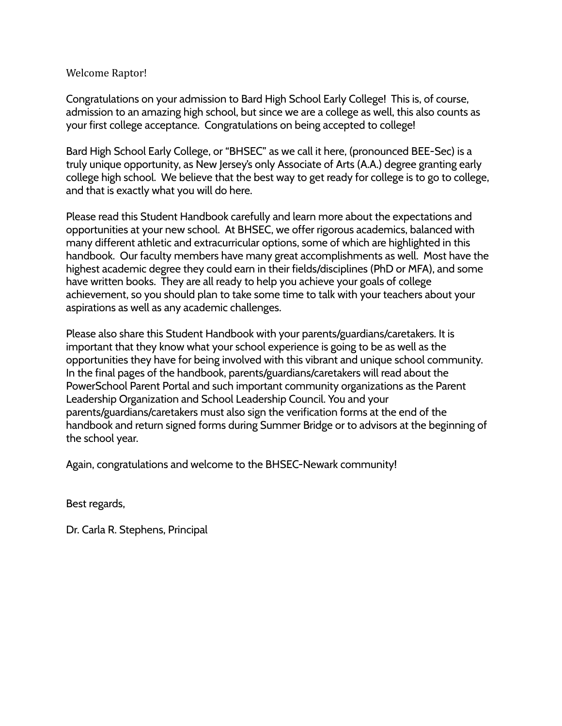#### Welcome Raptor!

Congratulations on your admission to Bard High School Early College! This is, of course, admission to an amazing high school, but since we are a college as well, this also counts as your first college acceptance. Congratulations on being accepted to college!

Bard High School Early College, or "BHSEC" as we call it here, (pronounced BEE-Sec) is a truly unique opportunity, as New Jersey's only Associate of Arts (A.A.) degree granting early college high school. We believe that the best way to get ready for college is to go to college, and that is exactly what you will do here.

Please read this Student Handbook carefully and learn more about the expectations and opportunities at your new school. At BHSEC, we offer rigorous academics, balanced with many different athletic and extracurricular options, some of which are highlighted in this handbook. Our faculty members have many great accomplishments as well. Most have the highest academic degree they could earn in their fields/disciplines (PhD or MFA), and some have written books. They are all ready to help you achieve your goals of college achievement, so you should plan to take some time to talk with your teachers about your aspirations as well as any academic challenges.

Please also share this Student Handbook with your parents/guardians/caretakers. It is important that they know what your school experience is going to be as well as the opportunities they have for being involved with this vibrant and unique school community. In the final pages of the handbook, parents/guardians/caretakers will read about the PowerSchool Parent Portal and such important community organizations as the Parent Leadership Organization and School Leadership Council. You and your parents/guardians/caretakers must also sign the verification forms at the end of the handbook and return signed forms during Summer Bridge or to advisors at the beginning of the school year.

Again, congratulations and welcome to the BHSEC-Newark community!

Best regards,

Dr. Carla R. Stephens, Principal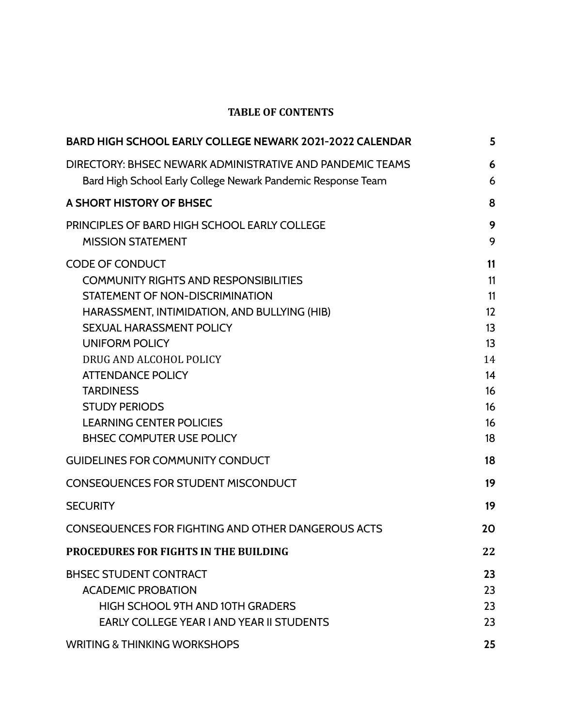# **TABLE OF CONTENTS**

| <b>BARD HIGH SCHOOL EARLY COLLEGE NEWARK 2021-2022 CALENDAR</b>                                                                                                                                                                                                                                                                                                                                 | 5                                                                    |
|-------------------------------------------------------------------------------------------------------------------------------------------------------------------------------------------------------------------------------------------------------------------------------------------------------------------------------------------------------------------------------------------------|----------------------------------------------------------------------|
| DIRECTORY: BHSEC NEWARK ADMINISTRATIVE AND PANDEMIC TEAMS<br>Bard High School Early College Newark Pandemic Response Team                                                                                                                                                                                                                                                                       | 6<br>6                                                               |
| A SHORT HISTORY OF BHSEC                                                                                                                                                                                                                                                                                                                                                                        | 8                                                                    |
| PRINCIPLES OF BARD HIGH SCHOOL EARLY COLLEGE<br><b>MISSION STATEMENT</b>                                                                                                                                                                                                                                                                                                                        | 9<br>9                                                               |
| <b>CODE OF CONDUCT</b><br><b>COMMUNITY RIGHTS AND RESPONSIBILITIES</b><br>STATEMENT OF NON-DISCRIMINATION<br>HARASSMENT, INTIMIDATION, AND BULLYING (HIB)<br><b>SEXUAL HARASSMENT POLICY</b><br><b>UNIFORM POLICY</b><br>DRUG AND ALCOHOL POLICY<br><b>ATTENDANCE POLICY</b><br><b>TARDINESS</b><br><b>STUDY PERIODS</b><br><b>LEARNING CENTER POLICIES</b><br><b>BHSEC COMPUTER USE POLICY</b> | 11<br>11<br>11<br>12<br>13<br>13<br>14<br>14<br>16<br>16<br>16<br>18 |
| <b>GUIDELINES FOR COMMUNITY CONDUCT</b>                                                                                                                                                                                                                                                                                                                                                         | 18                                                                   |
| <b>CONSEQUENCES FOR STUDENT MISCONDUCT</b>                                                                                                                                                                                                                                                                                                                                                      | 19                                                                   |
| <b>SECURITY</b>                                                                                                                                                                                                                                                                                                                                                                                 | 19                                                                   |
| <b>CONSEQUENCES FOR FIGHTING AND OTHER DANGEROUS ACTS</b>                                                                                                                                                                                                                                                                                                                                       | 20                                                                   |
| <b>PROCEDURES FOR FIGHTS IN THE BUILDING</b>                                                                                                                                                                                                                                                                                                                                                    | 22                                                                   |
| <b>BHSEC STUDENT CONTRACT</b><br><b>ACADEMIC PROBATION</b><br>HIGH SCHOOL 9TH AND 10TH GRADERS<br><b>EARLY COLLEGE YEAR I AND YEAR II STUDENTS</b>                                                                                                                                                                                                                                              | 23<br>23<br>23<br>23                                                 |
| <b>WRITING &amp; THINKING WORKSHOPS</b>                                                                                                                                                                                                                                                                                                                                                         | 25                                                                   |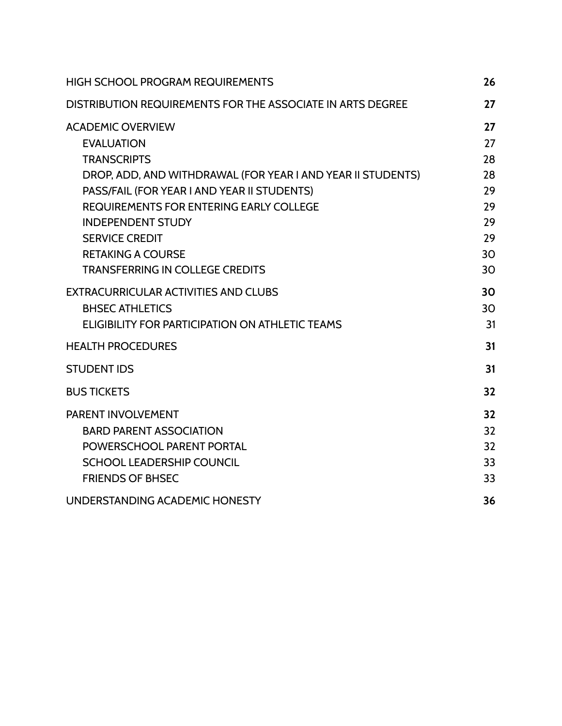| <b>HIGH SCHOOL PROGRAM REQUIREMENTS</b>                                                                                                                                                                                                                                                                                                                        | 26                                                       |
|----------------------------------------------------------------------------------------------------------------------------------------------------------------------------------------------------------------------------------------------------------------------------------------------------------------------------------------------------------------|----------------------------------------------------------|
| DISTRIBUTION REQUIREMENTS FOR THE ASSOCIATE IN ARTS DEGREE                                                                                                                                                                                                                                                                                                     | 27                                                       |
| <b>ACADEMIC OVERVIEW</b><br><b>EVALUATION</b><br><b>TRANSCRIPTS</b><br>DROP, ADD, AND WITHDRAWAL (FOR YEAR I AND YEAR II STUDENTS)<br>PASS/FAIL (FOR YEAR I AND YEAR II STUDENTS)<br><b>REQUIREMENTS FOR ENTERING EARLY COLLEGE</b><br><b>INDEPENDENT STUDY</b><br><b>SERVICE CREDIT</b><br><b>RETAKING A COURSE</b><br><b>TRANSFERRING IN COLLEGE CREDITS</b> | 27<br>27<br>28<br>28<br>29<br>29<br>29<br>29<br>30<br>30 |
| <b>EXTRACURRICULAR ACTIVITIES AND CLUBS</b><br><b>BHSEC ATHLETICS</b><br>ELIGIBILITY FOR PARTICIPATION ON ATHLETIC TEAMS                                                                                                                                                                                                                                       | 30<br>30<br>31                                           |
| <b>HEALTH PROCEDURES</b>                                                                                                                                                                                                                                                                                                                                       | 31                                                       |
| <b>STUDENT IDS</b>                                                                                                                                                                                                                                                                                                                                             | 31                                                       |
| <b>BUS TICKETS</b>                                                                                                                                                                                                                                                                                                                                             | 32                                                       |
| PARENT INVOLVEMENT<br><b>BARD PARENT ASSOCIATION</b><br>POWERSCHOOL PARENT PORTAL<br><b>SCHOOL LEADERSHIP COUNCIL</b><br><b>FRIENDS OF BHSEC</b>                                                                                                                                                                                                               | 32<br>32<br>32<br>33<br>33                               |
| UNDERSTANDING ACADEMIC HONESTY                                                                                                                                                                                                                                                                                                                                 | 36                                                       |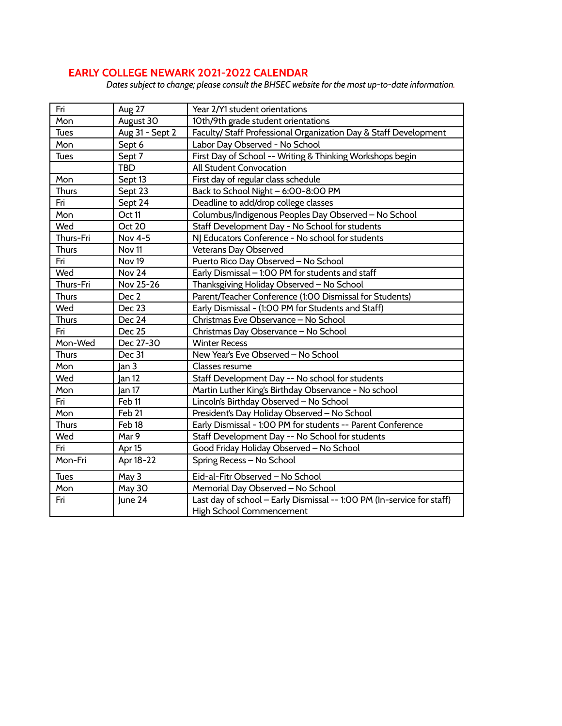## **EARLY COLLEGE NEWARK 2021-2022 CALENDAR**

*Dates subject to change; please consult the BHSEC website for the most up-to-date information.*

| Fri          |                   |                                                                                                    |  |
|--------------|-------------------|----------------------------------------------------------------------------------------------------|--|
|              | Aug 27            | Year 2/Y1 student orientations                                                                     |  |
| Mon          | August 30         | 10th/9th grade student orientations                                                                |  |
| <b>Tues</b>  | Aug 31 - Sept 2   | Faculty/ Staff Professional Organization Day & Staff Development                                   |  |
| Mon          | Sept 6            | Labor Day Observed - No School                                                                     |  |
| <b>Tues</b>  | Sept 7            | First Day of School -- Writing & Thinking Workshops begin                                          |  |
|              | <b>TBD</b>        | All Student Convocation                                                                            |  |
| Mon          | Sept 13           | First day of regular class schedule                                                                |  |
| <b>Thurs</b> | Sept 23           | Back to School Night - 6:00-8:00 PM                                                                |  |
| Fri          | Sept 24           | Deadline to add/drop college classes                                                               |  |
| Mon          | Oct 11            | Columbus/Indigenous Peoples Day Observed - No School                                               |  |
| Wed          | Oct 20            | Staff Development Day - No School for students                                                     |  |
| Thurs-Fri    | Nov 4-5           | NJ Educators Conference - No school for students                                                   |  |
| <b>Thurs</b> | Nov <sub>11</sub> | Veterans Day Observed                                                                              |  |
| Fri          | Nov <sub>19</sub> | Puerto Rico Day Observed - No School                                                               |  |
| Wed          | Nov 24            | Early Dismissal - 1:00 PM for students and staff                                                   |  |
| Thurs-Fri    | Nov 25-26         | Thanksgiving Holiday Observed - No School                                                          |  |
| <b>Thurs</b> | Dec <sub>2</sub>  | Parent/Teacher Conference (1:00 Dismissal for Students)                                            |  |
| Wed          | Dec 23            | Early Dismissal - (1:00 PM for Students and Staff)                                                 |  |
| <b>Thurs</b> | Dec 24            | Christmas Eve Observance - No School                                                               |  |
| Fri          | <b>Dec 25</b>     | Christmas Day Observance - No School                                                               |  |
| Mon-Wed      | Dec 27-30         | <b>Winter Recess</b>                                                                               |  |
| <b>Thurs</b> | Dec 31            | New Year's Eve Observed - No School                                                                |  |
| Mon          | Jan 3             | Classes resume                                                                                     |  |
| Wed          | Jan 12            | Staff Development Day -- No school for students                                                    |  |
| Mon          | Jan 17            | Martin Luther King's Birthday Observance - No school                                               |  |
| Fri          | Feb <sub>11</sub> | Lincoln's Birthday Observed - No School                                                            |  |
| Mon          | Feb 21            | President's Day Holiday Observed - No School                                                       |  |
| <b>Thurs</b> | Feb <sub>18</sub> | Early Dismissal - 1:00 PM for students -- Parent Conference                                        |  |
| Wed          | Mar 9             | Staff Development Day -- No School for students                                                    |  |
| Fri          | Apr 15            | Good Friday Holiday Observed - No School                                                           |  |
| Mon-Fri      | Apr 18-22         | Spring Recess - No School                                                                          |  |
| <b>Tues</b>  | May 3             | Eid-al-Fitr Observed - No School                                                                   |  |
| Mon          | <b>May 30</b>     | Memorial Day Observed - No School                                                                  |  |
| Fri          | June 24           | Last day of school - Early Dismissal -- 1:00 PM (In-service for staff)<br>High School Commencement |  |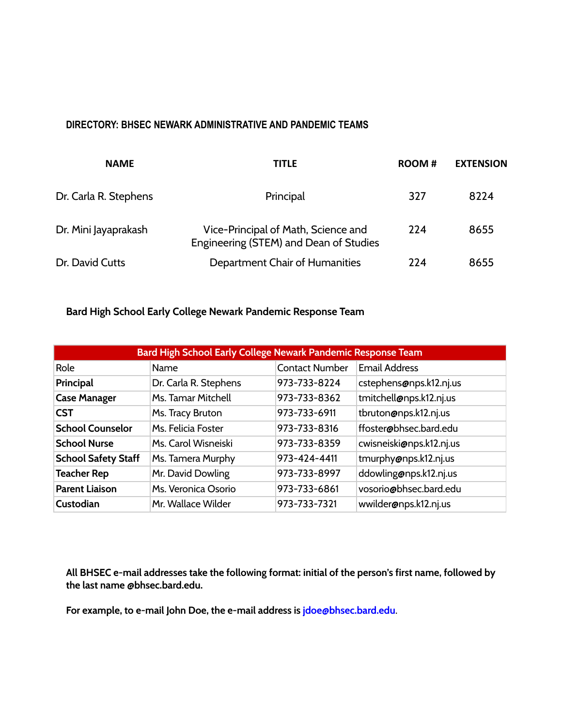#### <span id="page-5-0"></span>**DIRECTORY: BHSEC NEWARK ADMINISTRATIVE AND PANDEMIC TEAMS**

| <b>NAME</b>           | TITLE                                                                         | ROOM# | <b>EXTENSION</b> |
|-----------------------|-------------------------------------------------------------------------------|-------|------------------|
| Dr. Carla R. Stephens | Principal                                                                     | 327   | 8224             |
| Dr. Mini Jayaprakash  | Vice-Principal of Math, Science and<br>Engineering (STEM) and Dean of Studies | 224   | 8655             |
| Dr. David Cutts       | Department Chair of Humanities                                                | 224   | 8655             |

# <span id="page-5-1"></span>**Bard High School Early College Newark Pandemic Response Team**

| Bard High School Early College Newark Pandemic Response Team |                       |                       |                          |
|--------------------------------------------------------------|-----------------------|-----------------------|--------------------------|
| Role                                                         | Name                  | <b>Contact Number</b> | <b>Email Address</b>     |
| Principal                                                    | Dr. Carla R. Stephens | 973-733-8224          | cstephens@nps.k12.nj.us  |
| <b>Case Manager</b>                                          | Ms. Tamar Mitchell    | 973-733-8362          | tmitchell@nps.k12.nj.us  |
| <b>CST</b>                                                   | Ms. Tracy Bruton      | 973-733-6911          | tbruton@nps.k12.nj.us    |
| <b>School Counselor</b>                                      | Ms. Felicia Foster    | 973-733-8316          | ffoster@bhsec.bard.edu   |
| <b>School Nurse</b>                                          | Ms. Carol Wisneiski   | 973-733-8359          | cwisneiski@nps.k12.nj.us |
| <b>School Safety Staff</b>                                   | Ms. Tamera Murphy     | 973-424-4411          | tmurphy@nps.k12.nj.us    |
| <b>Teacher Rep</b>                                           | Mr. David Dowling     | 973-733-8997          | ddowling@nps.k12.nj.us   |
| <b>Parent Liaison</b>                                        | Ms. Veronica Osorio   | 973-733-6861          | vosorio@bhsec.bard.edu   |
| Custodian                                                    | Mr. Wallace Wilder    | 973-733-7321          | wwilder@nps.k12.nj.us    |

**All BHSEC e-mail addresses take the following format: initial of the person's first name, followed by the last name @bhsec.bard.edu.**

**For example, to e-mail John Doe, the e-mail address is [jdoe@bhsec.bard.edu](mailto:jdoe@bhsec.bard.edu)**.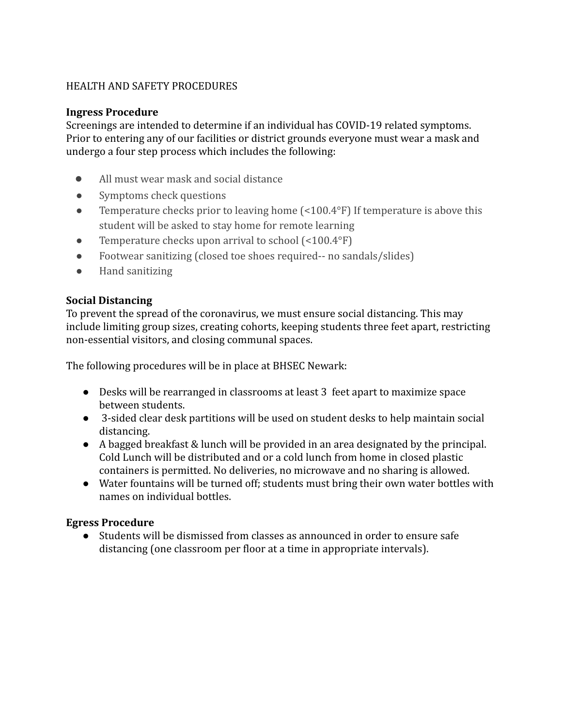## HEALTH AND SAFETY PROCEDURES

#### **Ingress Procedure**

Screenings are intended to determine if an individual has COVID-19 related symptoms. Prior to entering any of our facilities or district grounds everyone must wear a mask and undergo a four step process which includes the following:

- All must wear mask and social distance
- Symptoms check questions
- Temperature checks prior to leaving home (<100.4°F) If temperature is above this student will be asked to stay home for remote learning
- Temperature checks upon arrival to school (<100.4°F)
- Footwear sanitizing (closed toe shoes required-- no sandals/slides)
- Hand sanitizing

#### **Social Distancing**

To prevent the spread of the coronavirus, we must ensure social distancing. This may include limiting group sizes, creating cohorts, keeping students three feet apart, restricting non-essential visitors, and closing communal spaces.

The following procedures will be in place at BHSEC Newark:

- Desks will be rearranged in classrooms at least 3 feet apart to maximize space between students.
- 3-sided clear desk partitions will be used on student desks to help maintain social distancing.
- A bagged breakfast & lunch will be provided in an area designated by the principal. Cold Lunch will be distributed and or a cold lunch from home in closed plastic containers is permitted. No deliveries, no microwave and no sharing is allowed.
- Water fountains will be turned off; students must bring their own water bottles with names on individual bottles.

#### **Egress Procedure**

● Students will be dismissed from classes as announced in order to ensure safe distancing (one classroom per floor at a time in appropriate intervals).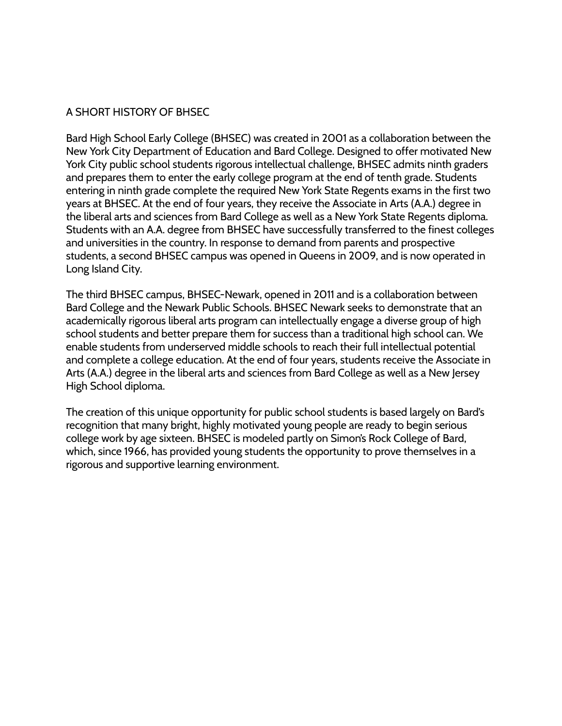#### <span id="page-7-0"></span>A SHORT HISTORY OF BHSEC

Bard High School Early College (BHSEC) was created in 2001 as a collaboration between the New York City Department of Education and Bard College. Designed to offer motivated New York City public school students rigorous intellectual challenge, BHSEC admits ninth graders and prepares them to enter the early college program at the end of tenth grade. Students entering in ninth grade complete the required New York State Regents exams in the first two years at BHSEC. At the end of four years, they receive the Associate in Arts (A.A.) degree in the liberal arts and sciences from Bard College as well as a New York State Regents diploma. Students with an A.A. degree from BHSEC have successfully transferred to the finest colleges and universities in the country. In response to demand from parents and prospective students, a second BHSEC campus was opened in Queens in 2009, and is now operated in Long Island City.

The third BHSEC campus, BHSEC-Newark, opened in 2011 and is a collaboration between Bard College and the Newark Public Schools. BHSEC Newark seeks to demonstrate that an academically rigorous liberal arts program can intellectually engage a diverse group of high school students and better prepare them for success than a traditional high school can. We enable students from underserved middle schools to reach their full intellectual potential and complete a college education. At the end of four years, students receive the Associate in Arts (A.A.) degree in the liberal arts and sciences from Bard College as well as a New Jersey High School diploma.

The creation of this unique opportunity for public school students is based largely on Bard's recognition that many bright, highly motivated young people are ready to begin serious college work by age sixteen. BHSEC is modeled partly on Simon's Rock College of Bard, which, since 1966, has provided young students the opportunity to prove themselves in a rigorous and supportive learning environment.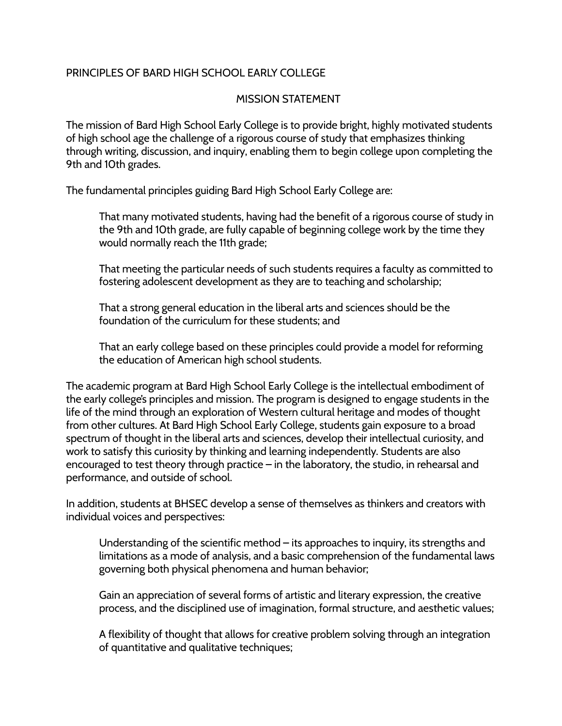## <span id="page-8-1"></span><span id="page-8-0"></span>PRINCIPLES OF BARD HIGH SCHOOL FARLY COLLEGE

#### MISSION STATEMENT

The mission of Bard High School Early College is to provide bright, highly motivated students of high school age the challenge of a rigorous course of study that emphasizes thinking through writing, discussion, and inquiry, enabling them to begin college upon completing the 9th and 10th grades.

The fundamental principles guiding Bard High School Early College are:

That many motivated students, having had the benefit of a rigorous course of study in the 9th and 10th grade, are fully capable of beginning college work by the time they would normally reach the 11th grade;

That meeting the particular needs of such students requires a faculty as committed to fostering adolescent development as they are to teaching and scholarship;

That a strong general education in the liberal arts and sciences should be the foundation of the curriculum for these students; and

That an early college based on these principles could provide a model for reforming the education of American high school students.

The academic program at Bard High School Early College is the intellectual embodiment of the early college's principles and mission. The program is designed to engage students in the life of the mind through an exploration of Western cultural heritage and modes of thought from other cultures. At Bard High School Early College, students gain exposure to a broad spectrum of thought in the liberal arts and sciences, develop their intellectual curiosity, and work to satisfy this curiosity by thinking and learning independently. Students are also encouraged to test theory through practice – in the laboratory, the studio, in rehearsal and performance, and outside of school.

In addition, students at BHSEC develop a sense of themselves as thinkers and creators with individual voices and perspectives:

Understanding of the scientific method – its approaches to inquiry, its strengths and limitations as a mode of analysis, and a basic comprehension of the fundamental laws governing both physical phenomena and human behavior;

Gain an appreciation of several forms of artistic and literary expression, the creative process, and the disciplined use of imagination, formal structure, and aesthetic values;

A flexibility of thought that allows for creative problem solving through an integration of quantitative and qualitative techniques;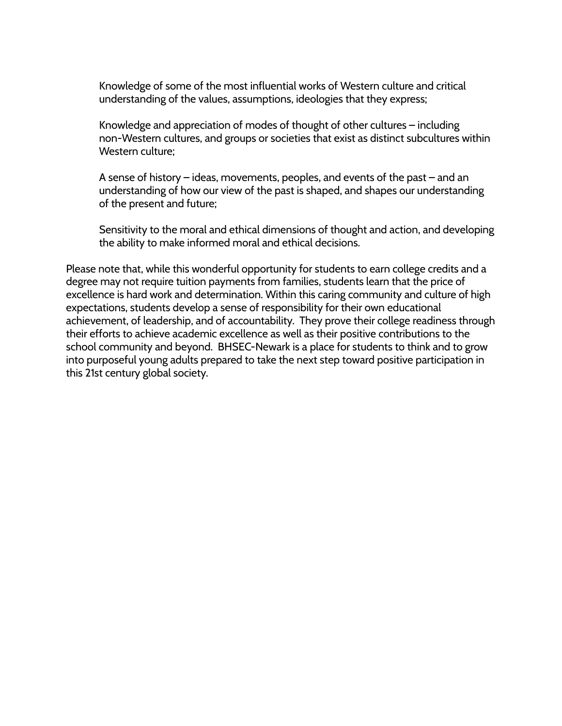Knowledge of some of the most influential works of Western culture and critical understanding of the values, assumptions, ideologies that they express;

Knowledge and appreciation of modes of thought of other cultures – including non-Western cultures, and groups or societies that exist as distinct subcultures within Western culture;

A sense of history – ideas, movements, peoples, and events of the past – and an understanding of how our view of the past is shaped, and shapes our understanding of the present and future;

Sensitivity to the moral and ethical dimensions of thought and action, and developing the ability to make informed moral and ethical decisions.

Please note that, while this wonderful opportunity for students to earn college credits and a degree may not require tuition payments from families, students learn that the price of excellence is hard work and determination. Within this caring community and culture of high expectations, students develop a sense of responsibility for their own educational achievement, of leadership, and of accountability. They prove their college readiness through their efforts to achieve academic excellence as well as their positive contributions to the school community and beyond. BHSEC-Newark is a place for students to think and to grow into purposeful young adults prepared to take the next step toward positive participation in this 21st century global society.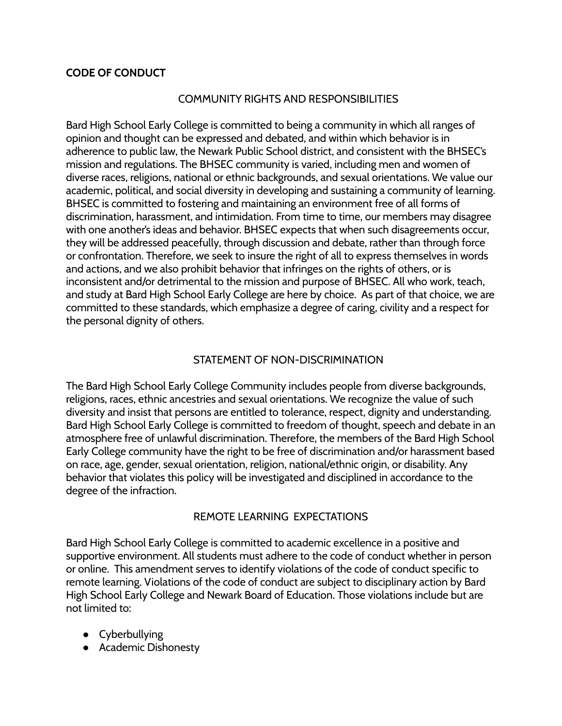#### <span id="page-10-1"></span><span id="page-10-0"></span>**CODE OF CONDUCT**

## COMMUNITY RIGHTS AND RESPONSIBILITIES

Bard High School Early College is committed to being a community in which all ranges of opinion and thought can be expressed and debated, and within which behavior is in adherence to public law, the Newark Public School district, and consistent with the BHSEC's mission and regulations. The BHSEC community is varied, including men and women of diverse races, religions, national or ethnic backgrounds, and sexual orientations. We value our academic, political, and social diversity in developing and sustaining a community of learning. BHSEC is committed to fostering and maintaining an environment free of all forms of discrimination, harassment, and intimidation. From time to time, our members may disagree with one another's ideas and behavior. BHSEC expects that when such disagreements occur, they will be addressed peacefully, through discussion and debate, rather than through force or confrontation. Therefore, we seek to insure the right of all to express themselves in words and actions, and we also prohibit behavior that infringes on the rights of others, or is inconsistent and/or detrimental to the mission and purpose of BHSEC. All who work, teach, and study at Bard High School Early College are here by choice. As part of that choice, we are committed to these standards, which emphasize a degree of caring, civility and a respect for the personal dignity of others.

#### STATEMENT OF NON-DISCRIMINATION

<span id="page-10-2"></span>The Bard High School Early College Community includes people from diverse backgrounds, religions, races, ethnic ancestries and sexual orientations. We recognize the value of such diversity and insist that persons are entitled to tolerance, respect, dignity and understanding. Bard High School Early College is committed to freedom of thought, speech and debate in an atmosphere free of unlawful discrimination. Therefore, the members of the Bard High School Early College community have the right to be free of discrimination and/or harassment based on race, age, gender, sexual orientation, religion, national/ethnic origin, or disability. Any behavior that violates this policy will be investigated and disciplined in accordance to the degree of the infraction.

#### REMOTE LEARNING EXPECTATIONS

Bard High School Early College is committed to academic excellence in a positive and supportive environment. All students must adhere to the code of conduct whether in person or online. This amendment serves to identify violations of the code of conduct specific to remote learning. Violations of the code of conduct are subject to disciplinary action by Bard High School Early College and Newark Board of Education. Those violations include but are not limited to:

- Cyberbullying
- Academic Dishonesty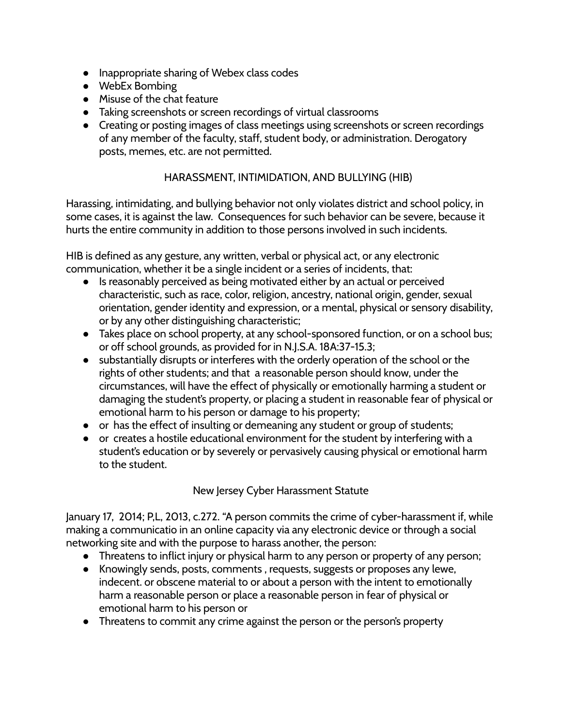- Inappropriate sharing of Webex class codes
- WebEx Bombing
- Misuse of the chat feature
- Taking screenshots or screen recordings of virtual classrooms
- Creating or posting images of class meetings using screenshots or screen recordings of any member of the faculty, staff, student body, or administration. Derogatory posts, memes, etc. are not permitted.

## HARASSMENT, INTIMIDATION, AND BULLYING (HIB)

<span id="page-11-0"></span>Harassing, intimidating, and bullying behavior not only violates district and school policy, in some cases, it is against the law. Consequences for such behavior can be severe, because it hurts the entire community in addition to those persons involved in such incidents.

HIB is defined as any gesture, any written, verbal or physical act, or any electronic communication, whether it be a single incident or a series of incidents, that:

- Is reasonably perceived as being motivated either by an actual or perceived characteristic, such as race, color, religion, ancestry, national origin, gender, sexual orientation, gender identity and expression, or a mental, physical or sensory disability, or by any other distinguishing characteristic;
- Takes place on school property, at any school-sponsored function, or on a school bus; or off school grounds, as provided for in N.J.S.A. 18A:37-15.3;
- substantially disrupts or interferes with the orderly operation of the school or the rights of other students; and that a reasonable person should know, under the circumstances, will have the effect of physically or emotionally harming a student or damaging the student's property, or placing a student in reasonable fear of physical or emotional harm to his person or damage to his property;
- or has the effect of insulting or demeaning any student or group of students;
- or creates a hostile educational environment for the student by interfering with a student's education or by severely or pervasively causing physical or emotional harm to the student.

New Jersey Cyber Harassment Statute

January 17, 2014; P,L, 2013, c.272. "A person commits the crime of cyber-harassment if, while making a communicatio in an online capacity via any electronic device or through a social networking site and with the purpose to harass another, the person:

- Threatens to inflict injury or physical harm to any person or property of any person;
- Knowingly sends, posts, comments , requests, suggests or proposes any lewe, indecent. or obscene material to or about a person with the intent to emotionally harm a reasonable person or place a reasonable person in fear of physical or emotional harm to his person or
- Threatens to commit any crime against the person or the person's property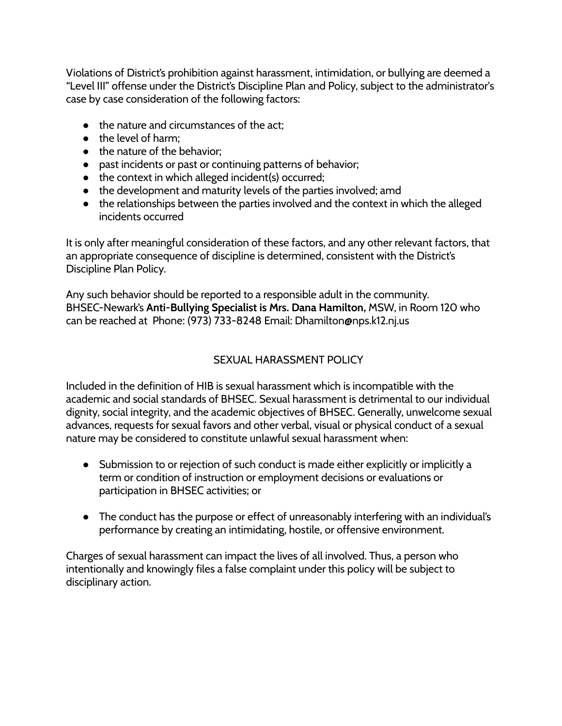Violations of District's prohibition against harassment, intimidation, or bullying are deemed a "Level III" offense under the District's Discipline Plan and Policy, subject to the administrator's case by case consideration of the following factors:

- the nature and circumstances of the act:
- the level of harm;
- the nature of the behavior;
- past incidents or past or continuing patterns of behavior;
- $\bullet$  the context in which alleged incident(s) occurred;
- the development and maturity levels of the parties involved; amd
- the relationships between the parties involved and the context in which the alleged incidents occurred

It is only after meaningful consideration of these factors, and any other relevant factors, that an appropriate consequence of discipline is determined, consistent with the District's Discipline Plan Policy.

Any such behavior should be reported to a responsible adult in the community. BHSEC-Newark's **Anti-Bullying Specialist is Mrs. Dana Hamilton,** MSW, in Room 120 who can be reached at Phone: (973) 733-8248 Email: Dhamilton@nps.k12.nj.us

# SEXUAL HARASSMENT POLICY

<span id="page-12-0"></span>Included in the definition of HIB is sexual harassment which is incompatible with the academic and social standards of BHSEC. Sexual harassment is detrimental to our individual dignity, social integrity, and the academic objectives of BHSEC. Generally, unwelcome sexual advances, requests for sexual favors and other verbal, visual or physical conduct of a sexual nature may be considered to constitute unlawful sexual harassment when:

- Submission to or rejection of such conduct is made either explicitly or implicitly a term or condition of instruction or employment decisions or evaluations or participation in BHSEC activities; or
- The conduct has the purpose or effect of unreasonably interfering with an individual's performance by creating an intimidating, hostile, or offensive environment.

Charges of sexual harassment can impact the lives of all involved. Thus, a person who intentionally and knowingly files a false complaint under this policy will be subject to disciplinary action.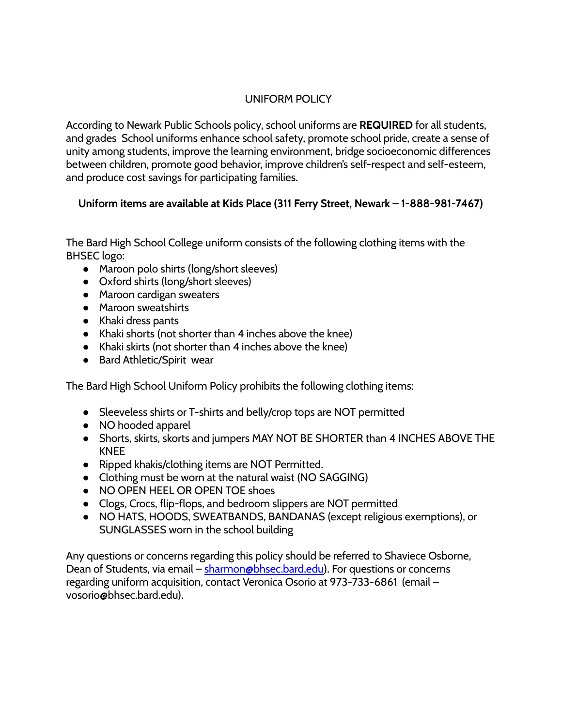# UNIFORM POLICY

<span id="page-13-0"></span>According to Newark Public Schools policy, school uniforms are **REQUIRED** for all students, and grades School uniforms enhance school safety, promote school pride, create a sense of unity among students, improve the learning environment, bridge socioeconomic differences between children, promote good behavior, improve children's self-respect and self-esteem, and produce cost savings for participating families.

# **Uniform items are available at Kids Place (311 Ferry Street, Newark – 1-888-981-7467)**

The Bard High School College uniform consists of the following clothing items with the BHSEC logo:

- Maroon polo shirts (long/short sleeves)
- Oxford shirts (long/short sleeves)
- Maroon cardigan sweaters
- Maroon sweatshirts
- Khaki dress pants
- Khaki shorts (not shorter than 4 inches above the knee)
- Khaki skirts (not shorter than 4 inches above the knee)
- Bard Athletic/Spirit wear

The Bard High School Uniform Policy prohibits the following clothing items:

- Sleeveless shirts or T-shirts and belly/crop tops are NOT permitted
- NO hooded apparel
- Shorts, skirts, skorts and jumpers MAY NOT BE SHORTER than 4 INCHES ABOVE THE KNEE
- Ripped khakis/clothing items are NOT Permitted.
- Clothing must be worn at the natural waist (NO SAGGING)
- NO OPEN HEEL OR OPEN TOE shoes
- Clogs, Crocs, flip-flops, and bedroom slippers are NOT permitted
- NO HATS, HOODS, SWEATBANDS, BANDANAS (except religious exemptions), or SUNGLASSES worn in the school building

Any questions or concerns regarding this policy should be referred to Shaviece Osborne, Dean of Students, via email – [sharmon@bhsec.bard.edu\)](mailto:sharmon@bhsec.bard.edu). For questions or concerns regarding uniform acquisition, contact Veronica Osorio at 973-733-6861 (email – vosorio@bhsec.bard.edu).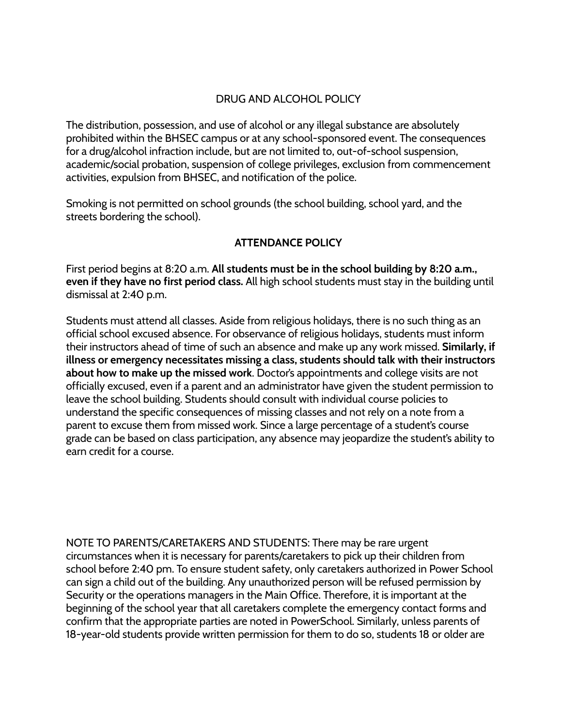## DRUG AND ALCOHOL POLICY

<span id="page-14-0"></span>The distribution, possession, and use of alcohol or any illegal substance are absolutely prohibited within the BHSEC campus or at any school-sponsored event. The consequences for a drug/alcohol infraction include, but are not limited to, out-of-school suspension, academic/social probation, suspension of college privileges, exclusion from commencement activities, expulsion from BHSEC, and notification of the police.

Smoking is not permitted on school grounds (the school building, school yard, and the streets bordering the school).

## **ATTENDANCE POLICY**

<span id="page-14-1"></span>First period begins at 8:20 a.m. **All students must be in the school building by 8:20 a.m., even if they have no first period class.** All high school students must stay in the building until dismissal at 2:40 p.m.

Students must attend all classes. Aside from religious holidays, there is no such thing as an official school excused absence. For observance of religious holidays, students must inform their instructors ahead of time of such an absence and make up any work missed. **Similarly, if illness or emergency necessitates missing a class, students should talk with their instructors about how to make up the missed work**. Doctor's appointments and college visits are not officially excused, even if a parent and an administrator have given the student permission to leave the school building. Students should consult with individual course policies to understand the specific consequences of missing classes and not rely on a note from a parent to excuse them from missed work. Since a large percentage of a student's course grade can be based on class participation, any absence may jeopardize the student's ability to earn credit for a course.

NOTE TO PARENTS/CARETAKERS AND STUDENTS: There may be rare urgent circumstances when it is necessary for parents/caretakers to pick up their children from school before 2:40 pm. To ensure student safety, only caretakers authorized in Power School can sign a child out of the building. Any unauthorized person will be refused permission by Security or the operations managers in the Main Office. Therefore, it is important at the beginning of the school year that all caretakers complete the emergency contact forms and confirm that the appropriate parties are noted in PowerSchool. Similarly, unless parents of 18-year-old students provide written permission for them to do so, students 18 or older are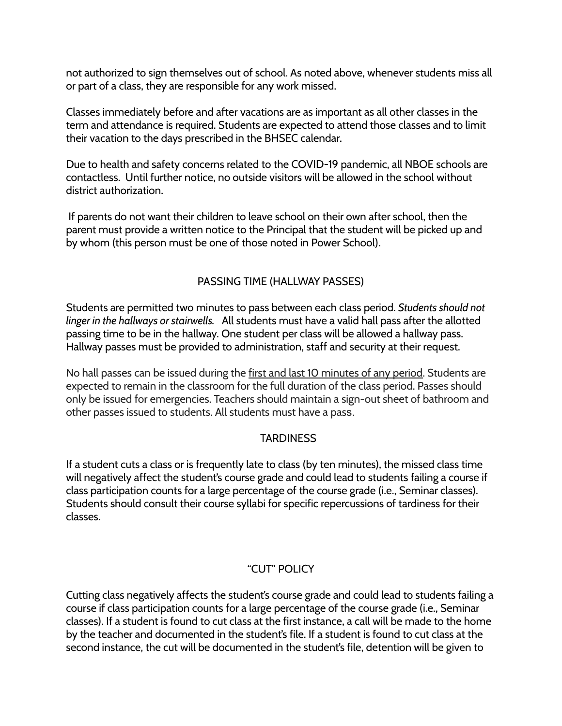not authorized to sign themselves out of school. As noted above, whenever students miss all or part of a class, they are responsible for any work missed.

Classes immediately before and after vacations are as important as all other classes in the term and attendance is required. Students are expected to attend those classes and to limit their vacation to the days prescribed in the BHSEC calendar.

Due to health and safety concerns related to the COVID-19 pandemic, all NBOE schools are contactless. Until further notice, no outside visitors will be allowed in the school without district authorization.

If parents do not want their children to leave school on their own after school, then the parent must provide a written notice to the Principal that the student will be picked up and by whom (this person must be one of those noted in Power School).

# PASSING TIME (HALLWAY PASSES)

Students are permitted two minutes to pass between each class period. *Students should not linger in the hallways or stairwells.* All students must have a valid hall pass after the allotted passing time to be in the hallway. One student per class will be allowed a hallway pass. Hallway passes must be provided to administration, staff and security at their request.

No hall passes can be issued during the first and last 10 minutes of any period. Students are expected to remain in the classroom for the full duration of the class period. Passes should only be issued for emergencies. Teachers should maintain a sign-out sheet of bathroom and other passes issued to students. All students must have a pass.

## **TARDINESS**

<span id="page-15-0"></span>If a student cuts a class or is frequently late to class (by ten minutes), the missed class time will negatively affect the student's course grade and could lead to students failing a course if class participation counts for a large percentage of the course grade (i.e., Seminar classes). Students should consult their course syllabi for specific repercussions of tardiness for their classes.

# "CUT" POLICY

Cutting class negatively affects the student's course grade and could lead to students failing a course if class participation counts for a large percentage of the course grade (i.e., Seminar classes). If a student is found to cut class at the first instance, a call will be made to the home by the teacher and documented in the student's file. If a student is found to cut class at the second instance, the cut will be documented in the student's file, detention will be given to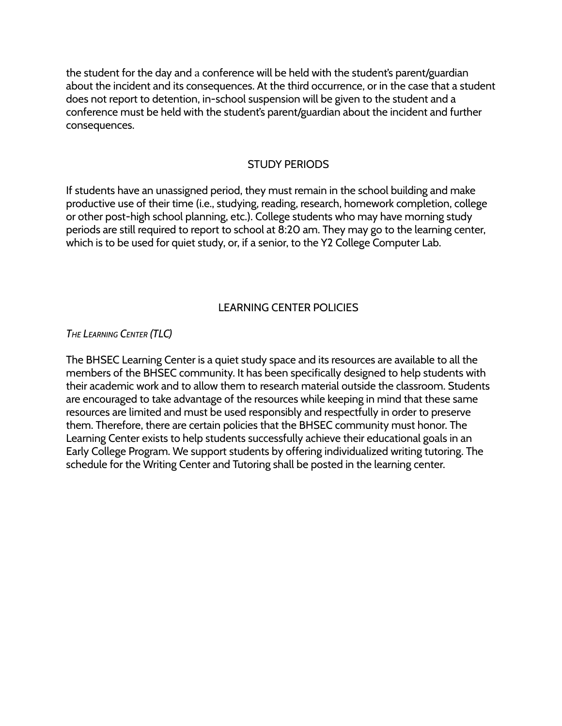the student for the day and a conference will be held with the student's parent/guardian about the incident and its consequences. At the third occurrence, or in the case that a student does not report to detention, in-school suspension will be given to the student and a conference must be held with the student's parent/guardian about the incident and further consequences.

#### STUDY PERIODS

<span id="page-16-0"></span>If students have an unassigned period, they must remain in the school building and make productive use of their time (i.e., studying, reading, research, homework completion, college or other post-high school planning, etc.). College students who may have morning study periods are still required to report to school at 8:20 am. They may go to the learning center, which is to be used for quiet study, or, if a senior, to the Y2 College Computer Lab.

# LEARNING CENTER POLICIES

<span id="page-16-1"></span>*THE LEARNING CENTER (TLC)*

The BHSEC Learning Center is a quiet study space and its resources are available to all the members of the BHSEC community. It has been specifically designed to help students with their academic work and to allow them to research material outside the classroom. Students are encouraged to take advantage of the resources while keeping in mind that these same resources are limited and must be used responsibly and respectfully in order to preserve them. Therefore, there are certain policies that the BHSEC community must honor. The Learning Center exists to help students successfully achieve their educational goals in an Early College Program. We support students by offering individualized writing tutoring. The schedule for the Writing Center and Tutoring shall be posted in the learning center.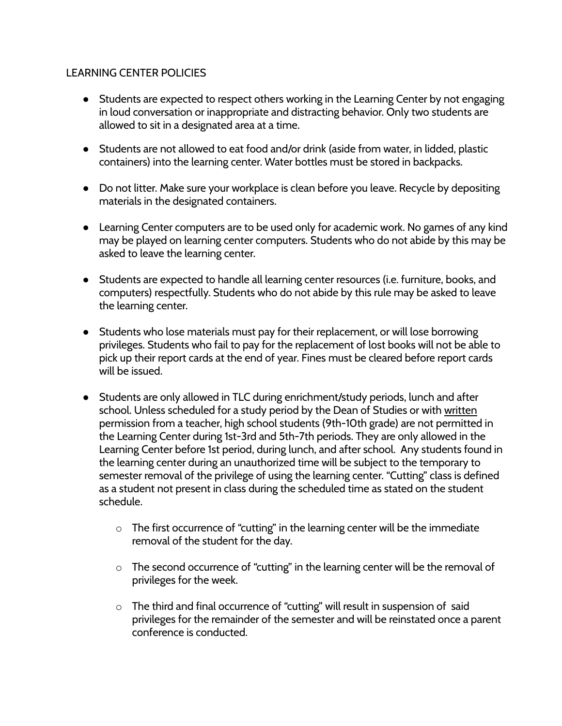#### LEARNING CENTER POLICIES

- Students are expected to respect others working in the Learning Center by not engaging in loud conversation or inappropriate and distracting behavior. Only two students are allowed to sit in a designated area at a time.
- Students are not allowed to eat food and/or drink (aside from water, in lidded, plastic containers) into the learning center. Water bottles must be stored in backpacks.
- Do not litter. Make sure your workplace is clean before you leave. Recycle by depositing materials in the designated containers.
- Learning Center computers are to be used only for academic work. No games of any kind may be played on learning center computers. Students who do not abide by this may be asked to leave the learning center.
- Students are expected to handle all learning center resources (i.e. furniture, books, and computers) respectfully. Students who do not abide by this rule may be asked to leave the learning center.
- Students who lose materials must pay for their replacement, or will lose borrowing privileges. Students who fail to pay for the replacement of lost books will not be able to pick up their report cards at the end of year. Fines must be cleared before report cards will be issued.
- Students are only allowed in TLC during enrichment/study periods, lunch and after school. Unless scheduled for a study period by the Dean of Studies or with written permission from a teacher, high school students (9th-10th grade) are not permitted in the Learning Center during 1st-3rd and 5th-7th periods. They are only allowed in the Learning Center before 1st period, during lunch, and after school. Any students found in the learning center during an unauthorized time will be subject to the temporary to semester removal of the privilege of using the learning center. "Cutting" class is defined as a student not present in class during the scheduled time as stated on the student schedule.
	- $\circ$  The first occurrence of "cutting" in the learning center will be the immediate removal of the student for the day.
	- o The second occurrence of "cutting" in the learning center will be the removal of privileges for the week.
	- o The third and final occurrence of "cutting" will result in suspension of said privileges for the remainder of the semester and will be reinstated once a parent conference is conducted.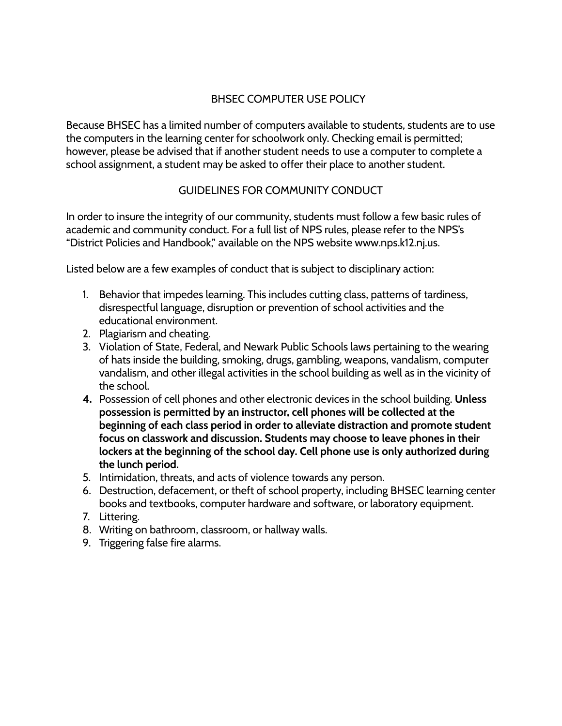## BHSEC COMPUTER USE POLICY

<span id="page-18-0"></span>Because BHSEC has a limited number of computers available to students, students are to use the computers in the learning center for schoolwork only. Checking email is permitted; however, please be advised that if another student needs to use a computer to complete a school assignment, a student may be asked to offer their place to another student.

# GUIDELINES FOR COMMUNITY CONDUCT

<span id="page-18-1"></span>In order to insure the integrity of our community, students must follow a few basic rules of academic and community conduct. For a full list of NPS rules, please refer to the NPS's "District Policies and Handbook," available on the NPS website www.nps.k12.nj.us.

Listed below are a few examples of conduct that is subject to disciplinary action:

- 1. Behavior that impedes learning. This includes cutting class, patterns of tardiness, disrespectful language, disruption or prevention of school activities and the educational environment.
- 2. Plagiarism and cheating.
- 3. Violation of State, Federal, and Newark Public Schools laws pertaining to the wearing of hats inside the building, smoking, drugs, gambling, weapons, vandalism, computer vandalism, and other illegal activities in the school building as well as in the vicinity of the school.
- **4.** Possession of cell phones and other electronic devices in the school building. **Unless possession is permitted by an instructor, cell phones will be collected at the beginning of each class period in order to alleviate distraction and promote student focus on classwork and discussion. Students may choose to leave phones in their lockers at the beginning of the school day. Cell phone use is only authorized during the lunch period.**
- 5. Intimidation, threats, and acts of violence towards any person.
- 6. Destruction, defacement, or theft of school property, including BHSEC learning center books and textbooks, computer hardware and software, or laboratory equipment.
- 7. Littering.
- 8. Writing on bathroom, classroom, or hallway walls.
- 9. Triggering false fire alarms.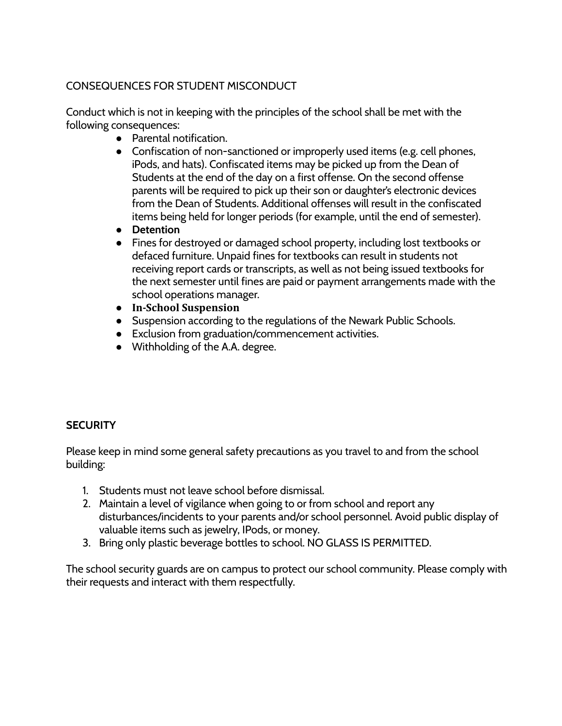# <span id="page-19-0"></span>CONSEQUENCES FOR STUDENT MISCONDUCT

Conduct which is not in keeping with the principles of the school shall be met with the following consequences:

- Parental notification.
- Confiscation of non-sanctioned or improperly used items (e.g. cell phones, iPods, and hats). Confiscated items may be picked up from the Dean of Students at the end of the day on a first offense. On the second offense parents will be required to pick up their son or daughter's electronic devices from the Dean of Students. Additional offenses will result in the confiscated items being held for longer periods (for example, until the end of semester).
- **● Detention**
- Fines for destroyed or damaged school property, including lost textbooks or defaced furniture. Unpaid fines for textbooks can result in students not receiving report cards or transcripts, as well as not being issued textbooks for the next semester until fines are paid or payment arrangements made with the school operations manager.
- **● In-School Suspension**
- Suspension according to the regulations of the Newark Public Schools.
- Exclusion from graduation/commencement activities.
- Withholding of the A.A. degree.

## <span id="page-19-1"></span>**SECURITY**

Please keep in mind some general safety precautions as you travel to and from the school building:

- 1. Students must not leave school before dismissal.
- 2. Maintain a level of vigilance when going to or from school and report any disturbances/incidents to your parents and/or school personnel. Avoid public display of valuable items such as jewelry, IPods, or money.
- 3. Bring only plastic beverage bottles to school. NO GLASS IS PERMITTED.

<span id="page-19-2"></span>The school security guards are on campus to protect our school community. Please comply with their requests and interact with them respectfully.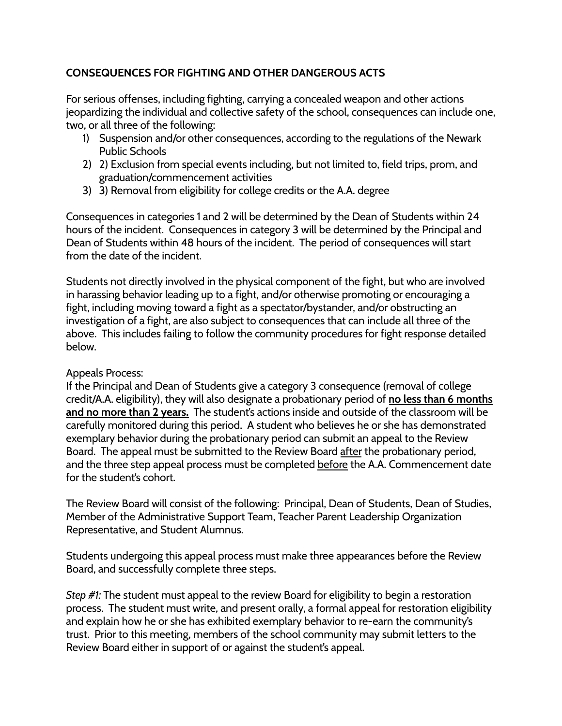## **CONSEQUENCES FOR FIGHTING AND OTHER DANGEROUS ACTS**

For serious offenses, including fighting, carrying a concealed weapon and other actions jeopardizing the individual and collective safety of the school, consequences can include one, two, or all three of the following:

- 1) Suspension and/or other consequences, according to the regulations of the Newark Public Schools
- 2) 2) Exclusion from special events including, but not limited to, field trips, prom, and graduation/commencement activities
- 3) 3) Removal from eligibility for college credits or the A.A. degree

Consequences in categories 1 and 2 will be determined by the Dean of Students within 24 hours of the incident. Consequences in category 3 will be determined by the Principal and Dean of Students within 48 hours of the incident. The period of consequences will start from the date of the incident.

Students not directly involved in the physical component of the fight, but who are involved in harassing behavior leading up to a fight, and/or otherwise promoting or encouraging a fight, including moving toward a fight as a spectator/bystander, and/or obstructing an investigation of a fight, are also subject to consequences that can include all three of the above. This includes failing to follow the community procedures for fight response detailed below.

#### Appeals Process:

If the Principal and Dean of Students give a category 3 consequence (removal of college credit/A.A. eligibility), they will also designate a probationary period of **no less than 6 months and no more than 2 years.** The student's actions inside and outside of the classroom will be carefully monitored during this period. A student who believes he or she has demonstrated exemplary behavior during the probationary period can submit an appeal to the Review Board. The appeal must be submitted to the Review Board after the probationary period, and the three step appeal process must be completed before the A.A. Commencement date for the student's cohort.

The Review Board will consist of the following: Principal, Dean of Students, Dean of Studies, Member of the Administrative Support Team, Teacher Parent Leadership Organization Representative, and Student Alumnus.

Students undergoing this appeal process must make three appearances before the Review Board, and successfully complete three steps.

*Step #1:* The student must appeal to the review Board for eligibility to begin a restoration process. The student must write, and present orally, a formal appeal for restoration eligibility and explain how he or she has exhibited exemplary behavior to re-earn the community's trust. Prior to this meeting, members of the school community may submit letters to the Review Board either in support of or against the student's appeal.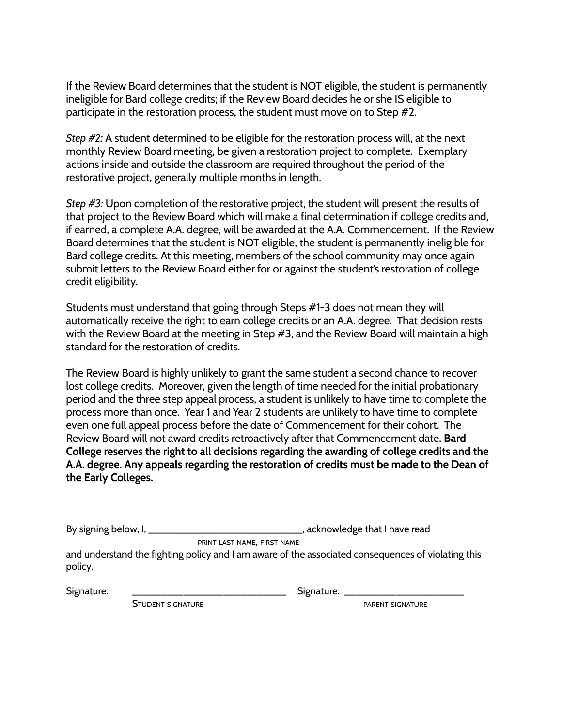If the Review Board determines that the student is NOT eligible, the student is permanently ineligible for Bard college credits; if the Review Board decides he or she IS eligible to participate in the restoration process, the student must move on to Step #2.

*Step #2:* A student determined to be eligible for the restoration process will, at the next monthly Review Board meeting, be given a restoration project to complete. Exemplary actions inside and outside the classroom are required throughout the period of the restorative project, generally multiple months in length.

*Step #3:* Upon completion of the restorative project, the student will present the results of that project to the Review Board which will make a final determination if college credits and, if earned, a complete A.A. degree, will be awarded at the A.A. Commencement. If the Review Board determines that the student is NOT eligible, the student is permanently ineligible for Bard college credits. At this meeting, members of the school community may once again submit letters to the Review Board either for or against the student's restoration of college credit eligibility.

Students must understand that going through Steps #1-3 does not mean they will automatically receive the right to earn college credits or an A.A. degree. That decision rests with the Review Board at the meeting in Step #3, and the Review Board will maintain a high standard for the restoration of credits.

The Review Board is highly unlikely to grant the same student a second chance to recover lost college credits. Moreover, given the length of time needed for the initial probationary period and the three step appeal process, a student is unlikely to have time to complete the process more than once. Year 1 and Year 2 students are unlikely to have time to complete even one full appeal process before the date of Commencement for their cohort. The Review Board will not award credits retroactively after that Commencement date. **Bard College reserves the right to all decisions regarding the awarding of college credits and the A.A. degree. Any appeals regarding the restoration of credits must be made to the Dean of the Early Colleges.**

By signing below, I, \_\_\_\_\_\_\_\_\_\_\_\_\_\_\_\_\_\_\_\_\_\_\_\_\_\_\_\_\_\_\_\_\_, acknowledge that I have read

PRINT LAST NAME, FIRST NAME

and understand the fighting policy and I am aware of the associated consequences of violating this policy.

Signature: \_\_\_\_\_\_\_\_\_\_\_\_\_\_\_\_\_\_\_\_\_\_\_\_\_\_\_ Signature: \_\_\_\_\_\_\_\_\_\_\_\_\_\_\_\_\_\_\_\_\_

STUDENT SIGNATURE **STUDENT SIGNATURE**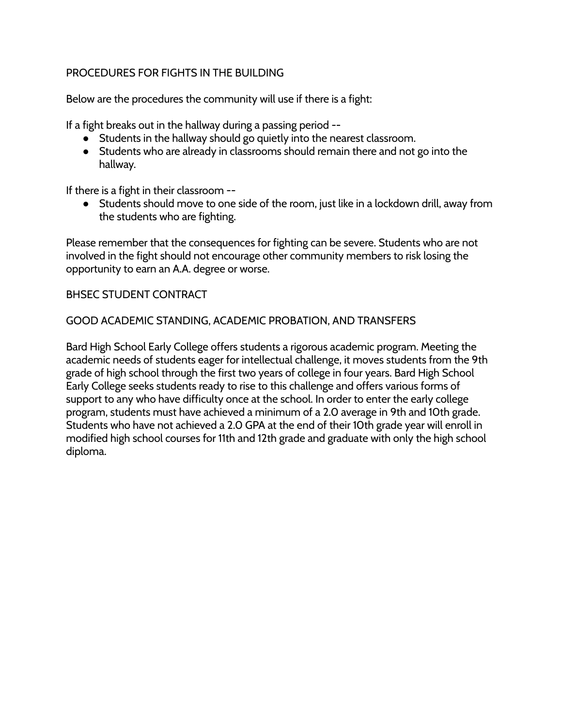## <span id="page-22-0"></span>PROCEDURES FOR FIGHTS IN THE BUILDING

Below are the procedures the community will use if there is a fight:

If a fight breaks out in the hallway during a passing period --

- Students in the hallway should go quietly into the nearest classroom.
- Students who are already in classrooms should remain there and not go into the hallway.

If there is a fight in their classroom --

● Students should move to one side of the room, just like in a lockdown drill, away from the students who are fighting.

Please remember that the consequences for fighting can be severe. Students who are not involved in the fight should not encourage other community members to risk losing the opportunity to earn an A.A. degree or worse.

#### <span id="page-22-1"></span>BHSEC STUDENT CONTRACT

#### GOOD ACADEMIC STANDING, ACADEMIC PROBATION, AND TRANSFERS

Bard High School Early College offers students a rigorous academic program. Meeting the academic needs of students eager for intellectual challenge, it moves students from the 9th grade of high school through the first two years of college in four years. Bard High School Early College seeks students ready to rise to this challenge and offers various forms of support to any who have difficulty once at the school. In order to enter the early college program, students must have achieved a minimum of a 2.0 average in 9th and 10th grade. Students who have not achieved a 2.0 GPA at the end of their 10th grade year will enroll in modified high school courses for 11th and 12th grade and graduate with only the high school diploma.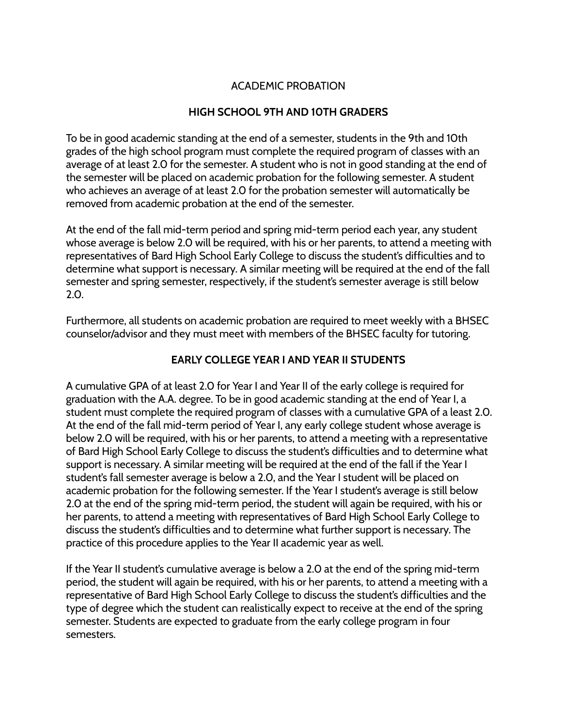# ACADEMIC PROBATION

## **HIGH SCHOOL 9TH AND 10TH GRADERS**

<span id="page-23-1"></span><span id="page-23-0"></span>To be in good academic standing at the end of a semester, students in the 9th and 10th grades of the high school program must complete the required program of classes with an average of at least 2.0 for the semester. A student who is not in good standing at the end of the semester will be placed on academic probation for the following semester. A student who achieves an average of at least 2.0 for the probation semester will automatically be removed from academic probation at the end of the semester.

At the end of the fall mid-term period and spring mid-term period each year, any student whose average is below 2.0 will be required, with his or her parents, to attend a meeting with representatives of Bard High School Early College to discuss the student's difficulties and to determine what support is necessary. A similar meeting will be required at the end of the fall semester and spring semester, respectively, if the student's semester average is still below 2.0.

Furthermore, all students on academic probation are required to meet weekly with a BHSEC counselor/advisor and they must meet with members of the BHSEC faculty for tutoring.

## **EARLY COLLEGE YEAR I AND YEAR II STUDENTS**

<span id="page-23-2"></span>A cumulative GPA of at least 2.0 for Year I and Year II of the early college is required for graduation with the A.A. degree. To be in good academic standing at the end of Year I, a student must complete the required program of classes with a cumulative GPA of a least 2.0. At the end of the fall mid-term period of Year I, any early college student whose average is below 2.0 will be required, with his or her parents, to attend a meeting with a representative of Bard High School Early College to discuss the student's difficulties and to determine what support is necessary. A similar meeting will be required at the end of the fall if the Year I student's fall semester average is below a 2.0, and the Year I student will be placed on academic probation for the following semester. If the Year I student's average is still below 2.0 at the end of the spring mid-term period, the student will again be required, with his or her parents, to attend a meeting with representatives of Bard High School Early College to discuss the student's difficulties and to determine what further support is necessary. The practice of this procedure applies to the Year II academic year as well.

If the Year II student's cumulative average is below a 2.0 at the end of the spring mid-term period, the student will again be required, with his or her parents, to attend a meeting with a representative of Bard High School Early College to discuss the student's difficulties and the type of degree which the student can realistically expect to receive at the end of the spring semester. Students are expected to graduate from the early college program in four semesters.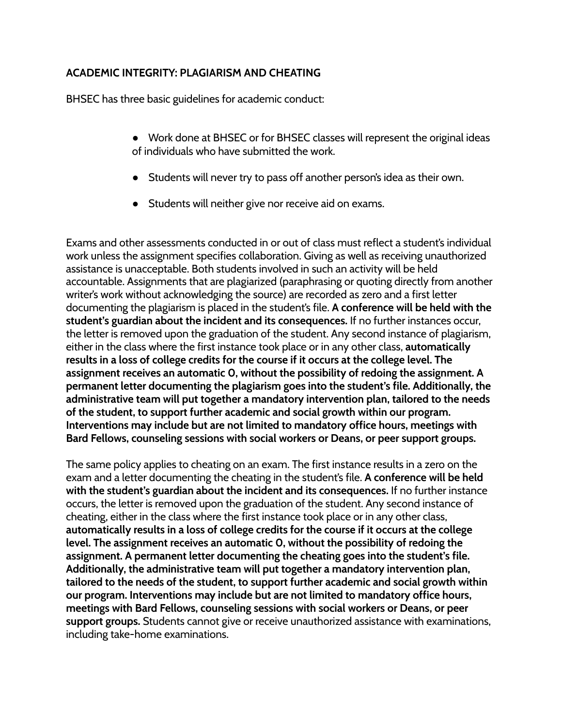## **ACADEMIC INTEGRITY: PLAGIARISM AND CHEATING**

BHSEC has three basic guidelines for academic conduct:

- Work done at BHSEC or for BHSEC classes will represent the original ideas of individuals who have submitted the work.
- Students will never try to pass off another person's idea as their own.
- Students will neither give nor receive aid on exams.

Exams and other assessments conducted in or out of class must reflect a student's individual work unless the assignment specifies collaboration. Giving as well as receiving unauthorized assistance is unacceptable. Both students involved in such an activity will be held accountable. Assignments that are plagiarized (paraphrasing or quoting directly from another writer's work without acknowledging the source) are recorded as zero and a first letter documenting the plagiarism is placed in the student's file. **A conference will be held with the student's guardian about the incident and its consequences.** If no further instances occur, the letter is removed upon the graduation of the student. Any second instance of plagiarism, either in the class where the first instance took place or in any other class, **automatically results in a loss of college credits for the course if it occurs at the college level. The assignment receives an automatic 0, without the possibility of redoing the assignment. A permanent letter documenting the plagiarism goes into the student's file. Additionally, the administrative team will put together a mandatory intervention plan, tailored to the needs of the student, to support further academic and social growth within our program. Interventions may include but are not limited to mandatory office hours, meetings with Bard Fellows, counseling sessions with social workers or Deans, or peer support groups.**

The same policy applies to cheating on an exam. The first instance results in a zero on the exam and a letter documenting the cheating in the student's file. **A conference will be held with the student's guardian about the incident and its consequences.** If no further instance occurs, the letter is removed upon the graduation of the student. Any second instance of cheating, either in the class where the first instance took place or in any other class, **automatically results in a loss of college credits for the course if it occurs at the college level. The assignment receives an automatic 0, without the possibility of redoing the assignment. A permanent letter documenting the cheating goes into the student's file. Additionally, the administrative team will put together a mandatory intervention plan, tailored to the needs of the student, to support further academic and social growth within our program. Interventions may include but are not limited to mandatory office hours, meetings with Bard Fellows, counseling sessions with social workers or Deans, or peer support groups.** Students cannot give or receive unauthorized assistance with examinations, including take-home examinations.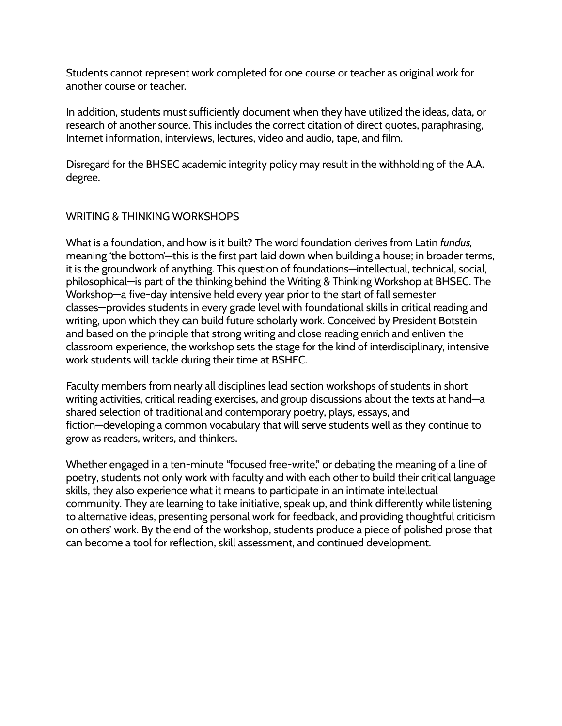Students cannot represent work completed for one course or teacher as original work for another course or teacher.

In addition, students must sufficiently document when they have utilized the ideas, data, or research of another source. This includes the correct citation of direct quotes, paraphrasing, Internet information, interviews, lectures, video and audio, tape, and film.

Disregard for the BHSEC academic integrity policy may result in the withholding of the A.A. degree.

## <span id="page-25-0"></span>WRITING & THINKING WORKSHOPS

What is a foundation, and how is it built? The word foundation derives from Latin *fundus,* meaning 'the bottom'—this is the first part laid down when building a house; in broader terms, it is the groundwork of anything. This question of foundations—intellectual, technical, social, philosophical—is part of the thinking behind the Writing & Thinking Workshop at BHSEC. The Workshop—a five-day intensive held every year prior to the start of fall semester classes—provides students in every grade level with foundational skills in critical reading and writing, upon which they can build future scholarly work. Conceived by President Botstein and based on the principle that strong writing and close reading enrich and enliven the classroom experience, the workshop sets the stage for the kind of interdisciplinary, intensive work students will tackle during their time at BSHEC.

Faculty members from nearly all disciplines lead section workshops of students in short writing activities, critical reading exercises, and group discussions about the texts at hand—a shared selection of traditional and contemporary poetry, plays, essays, and fiction—developing a common vocabulary that will serve students well as they continue to grow as readers, writers, and thinkers.

Whether engaged in a ten-minute "focused free-write," or debating the meaning of a line of poetry, students not only work with faculty and with each other to build their critical language skills, they also experience what it means to participate in an intimate intellectual community. They are learning to take initiative, speak up, and think differently while listening to alternative ideas, presenting personal work for feedback, and providing thoughtful criticism on others' work. By the end of the workshop, students produce a piece of polished prose that can become a tool for reflection, skill assessment, and continued development.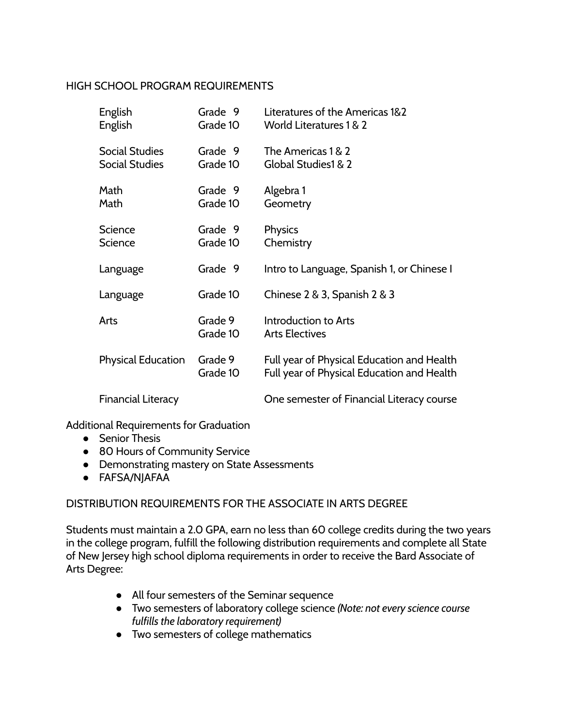#### <span id="page-26-0"></span>HIGH SCHOOL PROGRAM REQUIREMENTS

| English<br>English                             | Grade 9<br>Grade 10 | Literatures of the Americas 1&2<br><b>World Literatures 1 &amp; 2</b>                    |
|------------------------------------------------|---------------------|------------------------------------------------------------------------------------------|
| <b>Social Studies</b><br><b>Social Studies</b> | Grade 9<br>Grade 10 | The Americas 1 & 2<br>Global Studies1 & 2                                                |
| Math<br>Math                                   | Grade 9<br>Grade 10 | Algebra 1<br>Geometry                                                                    |
| <b>Science</b><br><b>Science</b>               | Grade 9<br>Grade 10 | Physics<br>Chemistry                                                                     |
| Language                                       | Grade 9             | Intro to Language, Spanish 1, or Chinese I                                               |
| Language                                       | Grade 10            | Chinese $2 \& 3$ , Spanish $2 \& 3$                                                      |
| Arts                                           | Grade 9<br>Grade 10 | Introduction to Arts<br><b>Arts Electives</b>                                            |
| <b>Physical Education</b>                      | Grade 9<br>Grade 10 | Full year of Physical Education and Health<br>Full year of Physical Education and Health |
| <b>Financial Literacy</b>                      |                     | One semester of Financial Literacy course                                                |

Additional Requirements for Graduation

- Senior Thesis
- 80 Hours of Community Service
- Demonstrating mastery on State Assessments
- FAFSA/NJAFAA

## <span id="page-26-1"></span>DISTRIBUTION REQUIREMENTS FOR THE ASSOCIATE IN ARTS DEGREE

Students must maintain a 2.0 GPA, earn no less than 60 college credits during the two years in the college program, fulfill the following distribution requirements and complete all State of New Jersey high school diploma requirements in order to receive the Bard Associate of Arts Degree:

- All four semesters of the Seminar sequence
- Two semesters of laboratory college science *(Note: not every science course fulfills the laboratory requirement)*
- Two semesters of college mathematics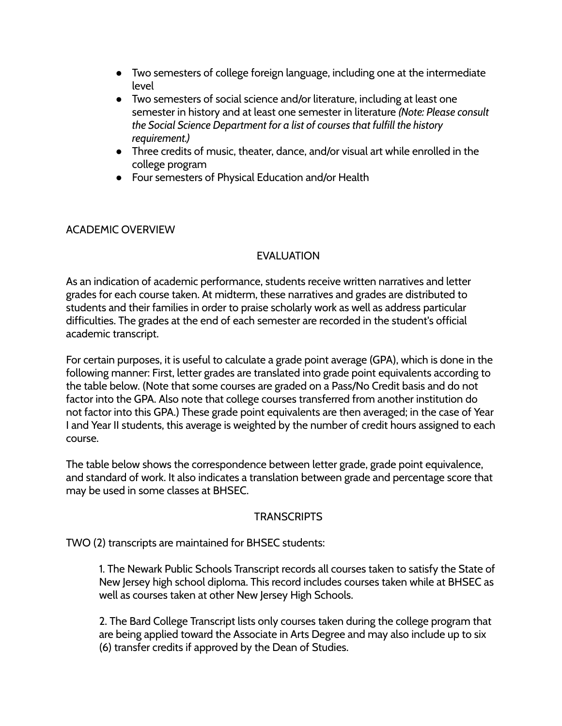- Two semesters of college foreign language, including one at the intermediate level
- Two semesters of social science and/or literature, including at least one semester in history and at least one semester in literature *(Note: Please consult the Social Science Department for a list of courses that fulfill the history requirement.)*
- Three credits of music, theater, dance, and/or visual art while enrolled in the college program
- Four semesters of Physical Education and/or Health

## <span id="page-27-1"></span><span id="page-27-0"></span>ACADEMIC OVERVIEW

## EVALUATION

As an indication of academic performance, students receive written narratives and letter grades for each course taken. At midterm, these narratives and grades are distributed to students and their families in order to praise scholarly work as well as address particular difficulties. The grades at the end of each semester are recorded in the student's official academic transcript.

For certain purposes, it is useful to calculate a grade point average (GPA), which is done in the following manner: First, letter grades are translated into grade point equivalents according to the table below. (Note that some courses are graded on a Pass/No Credit basis and do not factor into the GPA. Also note that college courses transferred from another institution do not factor into this GPA.) These grade point equivalents are then averaged; in the case of Year I and Year II students, this average is weighted by the number of credit hours assigned to each course.

The table below shows the correspondence between letter grade, grade point equivalence, and standard of work. It also indicates a translation between grade and percentage score that may be used in some classes at BHSEC.

## **TRANSCRIPTS**

<span id="page-27-2"></span>TWO (2) transcripts are maintained for BHSEC students:

1. The Newark Public Schools Transcript records all courses taken to satisfy the State of New Jersey high school diploma. This record includes courses taken while at BHSEC as well as courses taken at other New Jersey High Schools.

2. The Bard College Transcript lists only courses taken during the college program that are being applied toward the Associate in Arts Degree and may also include up to six (6) transfer credits if approved by the Dean of Studies.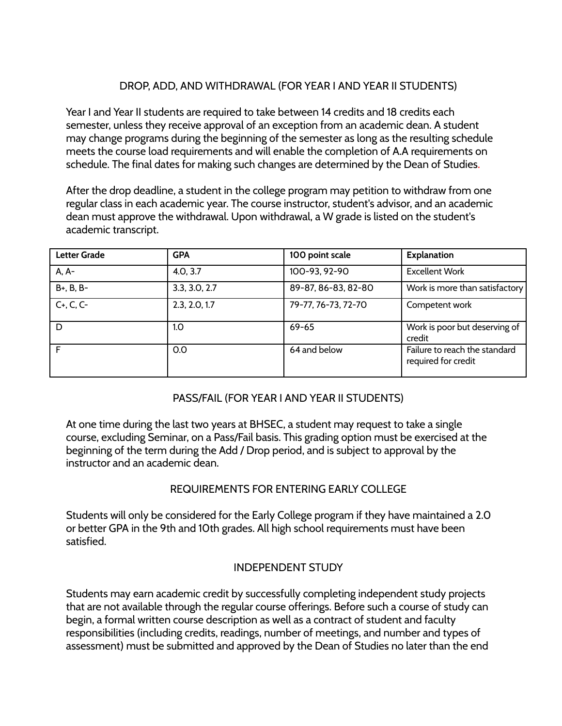# DROP, ADD, AND WITHDRAWAL (FOR YEAR I AND YEAR II STUDENTS)

<span id="page-28-0"></span>Year I and Year II students are required to take between 14 credits and 18 credits each semester, unless they receive approval of an exception from an academic dean. A student may change programs during the beginning of the semester as long as the resulting schedule meets the course load requirements and will enable the completion of A.A requirements on schedule. The final dates for making such changes are determined by the Dean of Studies.

After the drop deadline, a student in the college program may petition to withdraw from one regular class in each academic year. The course instructor, student's advisor, and an academic dean must approve the withdrawal. Upon withdrawal, a W grade is listed on the student's academic transcript.

| <b>Letter Grade</b> | <b>GPA</b>    | 100 point scale     | <b>Explanation</b>                                   |
|---------------------|---------------|---------------------|------------------------------------------------------|
| A, A-               | 4.0, 3.7      | 100-93, 92-90       | <b>Excellent Work</b>                                |
| B+, B, B-           | 3.3, 3.0, 2.7 | 89-87, 86-83, 82-80 | Work is more than satisfactory                       |
| $C+, C, C-$         | 2.3, 2.0, 1.7 | 79-77, 76-73, 72-70 | Competent work                                       |
| D                   | 1.0           | $69 - 65$           | Work is poor but deserving of<br>credit              |
|                     | 0.0           | 64 and below        | Failure to reach the standard<br>required for credit |

## PASS/FAIL (FOR YEAR I AND YEAR II STUDENTS)

<span id="page-28-1"></span>At one time during the last two years at BHSEC, a student may request to take a single course, excluding Seminar, on a Pass/Fail basis. This grading option must be exercised at the beginning of the term during the Add / Drop period, and is subject to approval by the instructor and an academic dean.

# REQUIREMENTS FOR ENTERING EARLY COLLEGE

<span id="page-28-2"></span>Students will only be considered for the Early College program if they have maintained a 2.0 or better GPA in the 9th and 10th grades. All high school requirements must have been satisfied.

## INDEPENDENT STUDY

<span id="page-28-3"></span>Students may earn academic credit by successfully completing independent study projects that are not available through the regular course offerings. Before such a course of study can begin, a formal written course description as well as a contract of student and faculty responsibilities (including credits, readings, number of meetings, and number and types of assessment) must be submitted and approved by the Dean of Studies no later than the end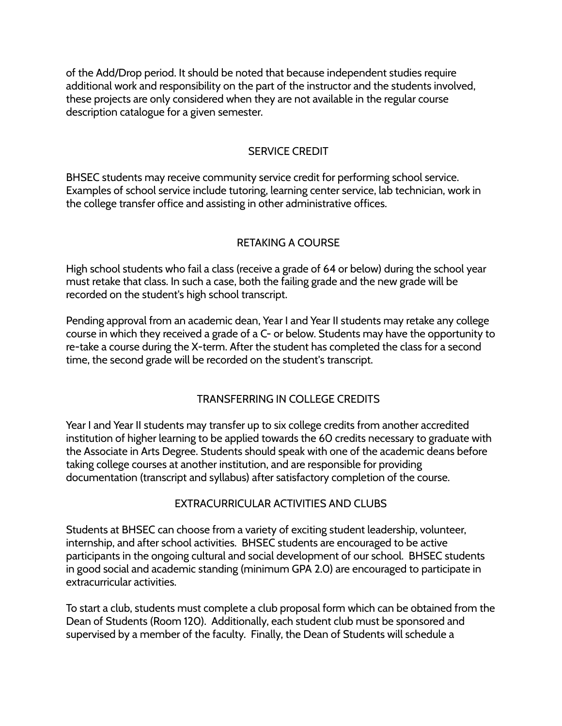of the Add/Drop period. It should be noted that because independent studies require additional work and responsibility on the part of the instructor and the students involved, these projects are only considered when they are not available in the regular course description catalogue for a given semester.

## SERVICE CREDIT

<span id="page-29-0"></span>BHSEC students may receive community service credit for performing school service. Examples of school service include tutoring, learning center service, lab technician, work in the college transfer office and assisting in other administrative offices.

## RETAKING A COURSE

<span id="page-29-1"></span>High school students who fail a class (receive a grade of 64 or below) during the school year must retake that class. In such a case, both the failing grade and the new grade will be recorded on the student's high school transcript.

Pending approval from an academic dean, Year I and Year II students may retake any college course in which they received a grade of a C- or below. Students may have the opportunity to re-take a course during the X-term. After the student has completed the class for a second time, the second grade will be recorded on the student's transcript.

## TRANSFERRING IN COLLEGE CREDITS

<span id="page-29-2"></span>Year I and Year II students may transfer up to six college credits from another accredited institution of higher learning to be applied towards the 60 credits necessary to graduate with the Associate in Arts Degree. Students should speak with one of the academic deans before taking college courses at another institution, and are responsible for providing documentation (transcript and syllabus) after satisfactory completion of the course.

## EXTRACURRICULAR ACTIVITIES AND CLUBS

<span id="page-29-3"></span>Students at BHSEC can choose from a variety of exciting student leadership, volunteer, internship, and after school activities. BHSEC students are encouraged to be active participants in the ongoing cultural and social development of our school. BHSEC students in good social and academic standing (minimum GPA 2.0) are encouraged to participate in extracurricular activities.

To start a club, students must complete a club proposal form which can be obtained from the Dean of Students (Room 120). Additionally, each student club must be sponsored and supervised by a member of the faculty. Finally, the Dean of Students will schedule a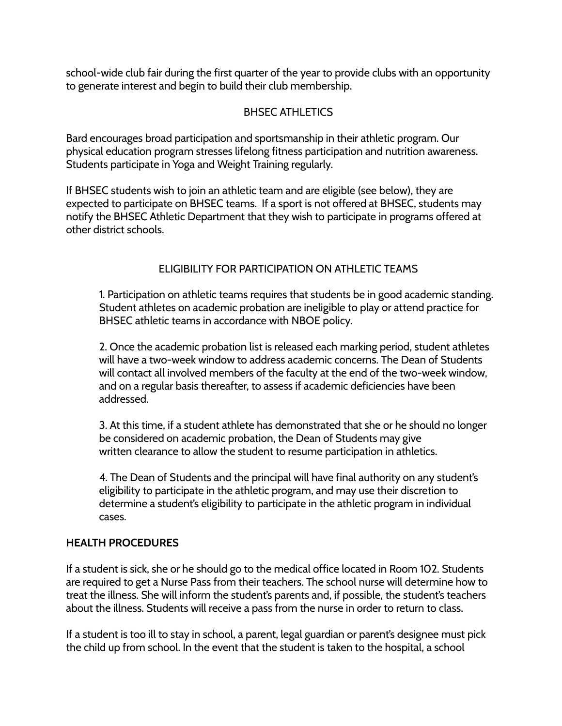school-wide club fair during the first quarter of the year to provide clubs with an opportunity to generate interest and begin to build their club membership.

## BHSEC ATHLETICS

<span id="page-30-0"></span>Bard encourages broad participation and sportsmanship in their athletic program. Our physical education program stresses lifelong fitness participation and nutrition awareness. Students participate in Yoga and Weight Training regularly.

If BHSEC students wish to join an athletic team and are eligible (see below), they are expected to participate on BHSEC teams. If a sport is not offered at BHSEC, students may notify the BHSEC Athletic Department that they wish to participate in programs offered at other district schools.

## ELIGIBILITY FOR PARTICIPATION ON ATHLETIC TEAMS

<span id="page-30-1"></span>1. Participation on athletic teams requires that students be in good academic standing. Student athletes on academic probation are ineligible to play or attend practice for BHSEC athletic teams in accordance with NBOE policy.

2. Once the academic probation list is released each marking period, student athletes will have a two-week window to address academic concerns. The Dean of Students will contact all involved members of the faculty at the end of the two-week window, and on a regular basis thereafter, to assess if academic deficiencies have been addressed.

3. At this time, if a student athlete has demonstrated that she or he should no longer be considered on academic probation, the Dean of Students may give written clearance to allow the student to resume participation in athletics.

4. The Dean of Students and the principal will have final authority on any student's eligibility to participate in the athletic program, and may use their discretion to determine a student's eligibility to participate in the athletic program in individual cases.

#### <span id="page-30-2"></span>**HEALTH PROCEDURES**

If a student is sick, she or he should go to the medical office located in Room 102. Students are required to get a Nurse Pass from their teachers. The school nurse will determine how to treat the illness. She will inform the student's parents and, if possible, the student's teachers about the illness. Students will receive a pass from the nurse in order to return to class.

If a student is too ill to stay in school, a parent, legal guardian or parent's designee must pick the child up from school. In the event that the student is taken to the hospital, a school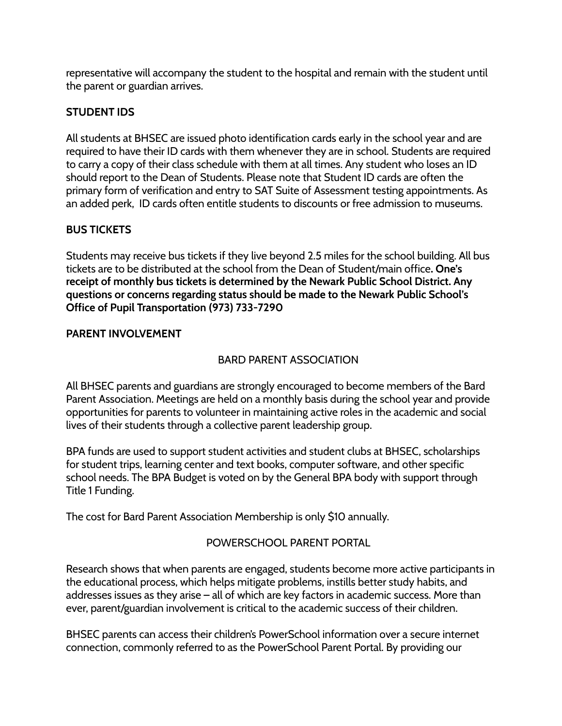representative will accompany the student to the hospital and remain with the student until the parent or guardian arrives.

# <span id="page-31-0"></span>**STUDENT IDS**

All students at BHSEC are issued photo identification cards early in the school year and are required to have their ID cards with them whenever they are in school. Students are required to carry a copy of their class schedule with them at all times. Any student who loses an ID should report to the Dean of Students. Please note that Student ID cards are often the primary form of verification and entry to SAT Suite of Assessment testing appointments. As an added perk, ID cards often entitle students to discounts or free admission to museums.

# <span id="page-31-1"></span>**BUS TICKETS**

Students may receive bus tickets if they live beyond 2.5 miles for the school building. All bus tickets are to be distributed at the school from the Dean of Student/main office**. One's receipt of monthly bus tickets is determined by the Newark Public School District. Any questions or concerns regarding status should be made to the Newark Public School's Office of Pupil Transportation (973) 733-7290**

#### <span id="page-31-3"></span><span id="page-31-2"></span>**PARENT INVOLVEMENT**

## BARD PARENT ASSOCIATION

All BHSEC parents and guardians are strongly encouraged to become members of the Bard Parent Association. Meetings are held on a monthly basis during the school year and provide opportunities for parents to volunteer in maintaining active roles in the academic and social lives of their students through a collective parent leadership group.

BPA funds are used to support student activities and student clubs at BHSEC, scholarships for student trips, learning center and text books, computer software, and other specific school needs. The BPA Budget is voted on by the General BPA body with support through Title 1 Funding.

<span id="page-31-4"></span>The cost for Bard Parent Association Membership is only \$10 annually.

## POWERSCHOOL PARENT PORTAL

Research shows that when parents are engaged, students become more active participants in the educational process, which helps mitigate problems, instills better study habits, and addresses issues as they arise – all of which are key factors in academic success. More than ever, parent/guardian involvement is critical to the academic success of their children.

BHSEC parents can access their children's PowerSchool information over a secure internet connection, commonly referred to as the PowerSchool Parent Portal. By providing our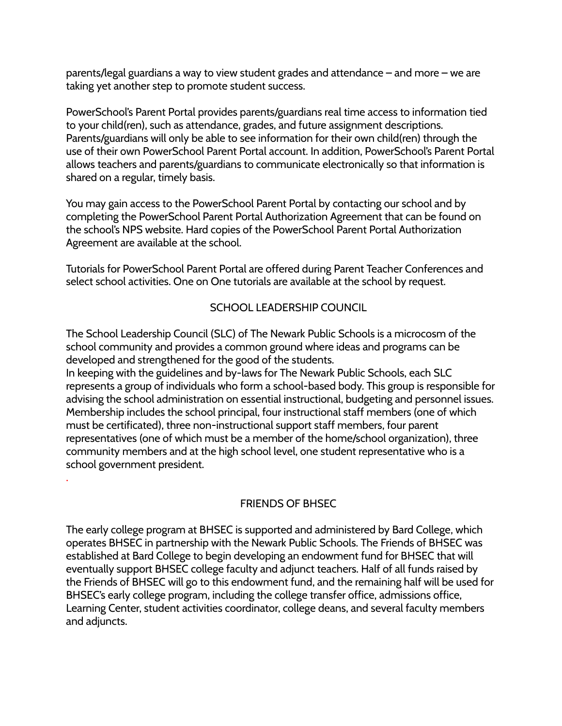parents/legal guardians a way to view student grades and attendance – and more – we are taking yet another step to promote student success.

PowerSchool's Parent Portal provides parents/guardians real time access to information tied to your child(ren), such as attendance, grades, and future assignment descriptions. Parents/guardians will only be able to see information for their own child(ren) through the use of their own PowerSchool Parent Portal account. In addition, PowerSchool's Parent Portal allows teachers and parents/guardians to communicate electronically so that information is shared on a regular, timely basis.

You may gain access to the PowerSchool Parent Portal by contacting our school and by completing the PowerSchool Parent Portal Authorization Agreement that can be found on the school's NPS website. Hard copies of the PowerSchool Parent Portal Authorization Agreement are available at the school.

Tutorials for PowerSchool Parent Portal are offered during Parent Teacher Conferences and select school activities. One on One tutorials are available at the school by request.

# SCHOOL LEADERSHIP COUNCIL

<span id="page-32-0"></span>The School Leadership Council (SLC) of The Newark Public Schools is a microcosm of the school community and provides a common ground where ideas and programs can be developed and strengthened for the good of the students.

In keeping with the guidelines and by-laws for The Newark Public Schools, each SLC represents a group of individuals who form a school-based body. This group is responsible for advising the school administration on essential instructional, budgeting and personnel issues. Membership includes the school principal, four instructional staff members (one of which must be certificated), three non-instructional support staff members, four parent representatives (one of which must be a member of the home/school organization), three community members and at the high school level, one student representative who is a school government president.

<span id="page-32-1"></span>.

## FRIENDS OF BHSEC

The early college program at BHSEC is supported and administered by Bard College, which operates BHSEC in partnership with the Newark Public Schools. The Friends of BHSEC was established at Bard College to begin developing an endowment fund for BHSEC that will eventually support BHSEC college faculty and adjunct teachers. Half of all funds raised by the Friends of BHSEC will go to this endowment fund, and the remaining half will be used for BHSEC's early college program, including the college transfer office, admissions office, Learning Center, student activities coordinator, college deans, and several faculty members and adjuncts.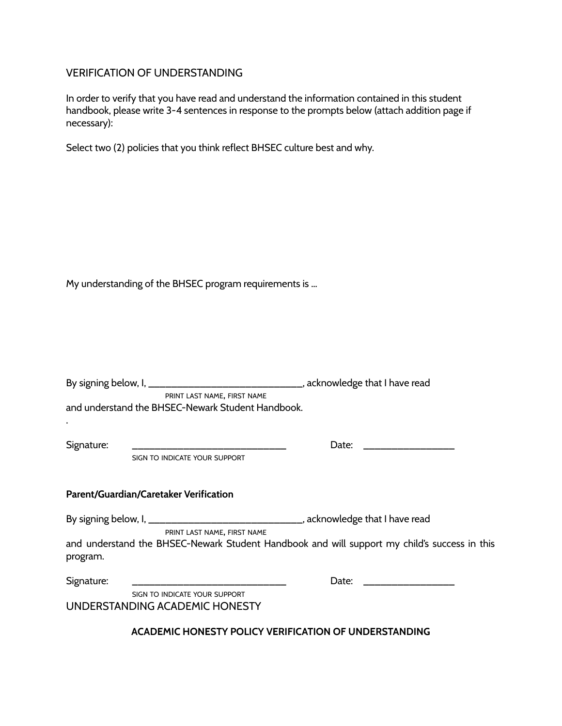#### VERIFICATION OF UNDERSTANDING

In order to verify that you have read and understand the information contained in this student handbook, please write 3-4 sentences in response to the prompts below (attach addition page if necessary):

Select two (2) policies that you think reflect BHSEC culture best and why.

My understanding of the BHSEC program requirements is …

<span id="page-33-0"></span>

|                                        | PRINT LAST NAME, FIRST NAME<br>and understand the BHSEC-Newark Student Handbook.                                   |                            |
|----------------------------------------|--------------------------------------------------------------------------------------------------------------------|----------------------------|
| Signature:                             | SIGN TO INDICATE YOUR SUPPORT                                                                                      | Date: ____________________ |
| Parent/Guardian/Caretaker Verification |                                                                                                                    |                            |
|                                        | By signing below, I, ________________________________, acknowledge that I have read<br>PRINT LAST NAME, FIRST NAME |                            |
| program.                               | and understand the BHSEC-Newark Student Handbook and will support my child's success in this                       |                            |
| Signature:                             | SIGN TO INDICATE YOUR SUPPORT                                                                                      | Date: ____________________ |
|                                        | UNDERSTANDING ACADEMIC HONESTY                                                                                     |                            |
|                                        | ACADEMIC HONESTY POLICY VERIFICATION OF UNDERSTANDING                                                              |                            |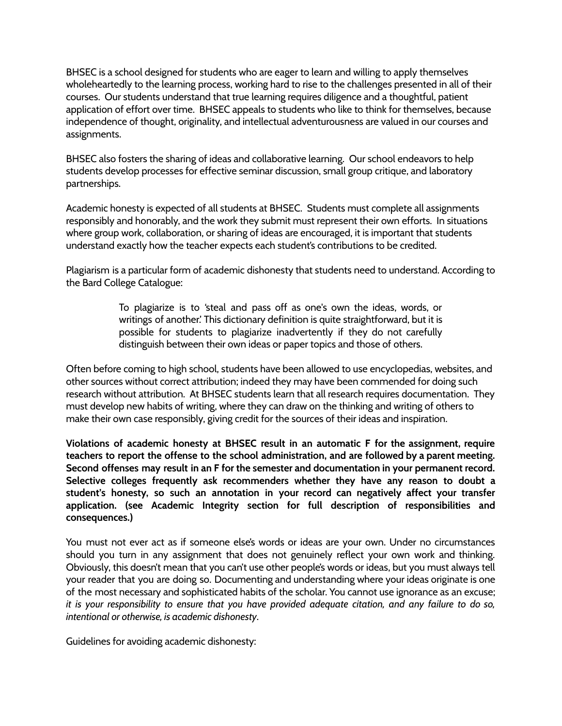BHSEC is a school designed for students who are eager to learn and willing to apply themselves wholeheartedly to the learning process, working hard to rise to the challenges presented in all of their courses. Our students understand that true learning requires diligence and a thoughtful, patient application of effort over time. BHSEC appeals to students who like to think for themselves, because independence of thought, originality, and intellectual adventurousness are valued in our courses and assignments.

BHSEC also fosters the sharing of ideas and collaborative learning. Our school endeavors to help students develop processes for effective seminar discussion, small group critique, and laboratory partnerships.

Academic honesty is expected of all students at BHSEC. Students must complete all assignments responsibly and honorably, and the work they submit must represent their own efforts. In situations where group work, collaboration, or sharing of ideas are encouraged, it is important that students understand exactly how the teacher expects each student's contributions to be credited.

Plagiarism is a particular form of academic dishonesty that students need to understand. According to the Bard College Catalogue:

> To plagiarize is to 'steal and pass off as one's own the ideas, words, or writings of another.' This dictionary definition is quite straightforward, but it is possible for students to plagiarize inadvertently if they do not carefully distinguish between their own ideas or paper topics and those of others.

Often before coming to high school, students have been allowed to use encyclopedias, websites, and other sources without correct attribution; indeed they may have been commended for doing such research without attribution. At BHSEC students learn that all research requires documentation. They must develop new habits of writing, where they can draw on the thinking and writing of others to make their own case responsibly, giving credit for the sources of their ideas and inspiration.

**Violations of academic honesty at BHSEC result in an automatic F for the assignment, require teachers to report the offense to the school administration, and are followed by a parent meeting. Second offenses may result in an F for the semester and documentation in your permanent record. Selective colleges frequently ask recommenders whether they have any reason to doubt a student's honesty, so such an annotation in your record can negatively affect your transfer application. (see Academic Integrity section for full description of responsibilities and consequences.)**

You must not ever act as if someone else's words or ideas are your own. Under no circumstances should you turn in any assignment that does not genuinely reflect your own work and thinking. Obviously, this doesn't mean that you can't use other people's words or ideas, but you must always tell your reader that you are doing so. Documenting and understanding where your ideas originate is one of the most necessary and sophisticated habits of the scholar. You cannot use ignorance as an excuse; it is your responsibility to ensure that you have provided adequate citation, and any failure to do so, *intentional or otherwise, is academic dishonesty*.

Guidelines for avoiding academic dishonesty: